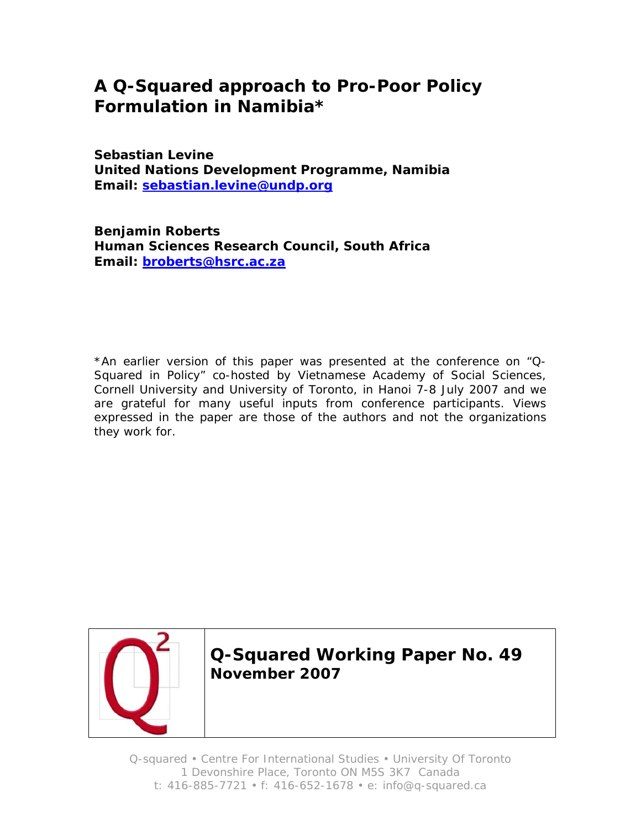# **A Q-Squared approach to Pro-Poor Policy Formulation in Namibia\***

**Sebastian Levine United Nations Development Programme, Namibia Email: [sebastian.levine@undp.org](mailto:sebastian.levine@undp.org)**

**Benjamin Roberts Human Sciences Research Council, South Africa Email: [broberts@hsrc.ac.za](mailto:broberts@hsrc.ac.za)**

\*An earlier version of this paper was presented at the conference on "Q-Squared in Policy" co-hosted by Vietnamese Academy of Social Sciences, Cornell University and University of Toronto, in Hanoi 7-8 July 2007 and we are grateful for many useful inputs from conference participants. Views expressed in the paper are those of the authors and not the organizations they work for.



**Q-Squared Working Paper No. 49 November 2007** 

Q-squared • Centre For International Studies • University Of Toronto 1 Devonshire Place, Toronto ON M5S 3K7 Canada t: 416-885-7721 • f: 416-652-1678 • e: info@q-squared.ca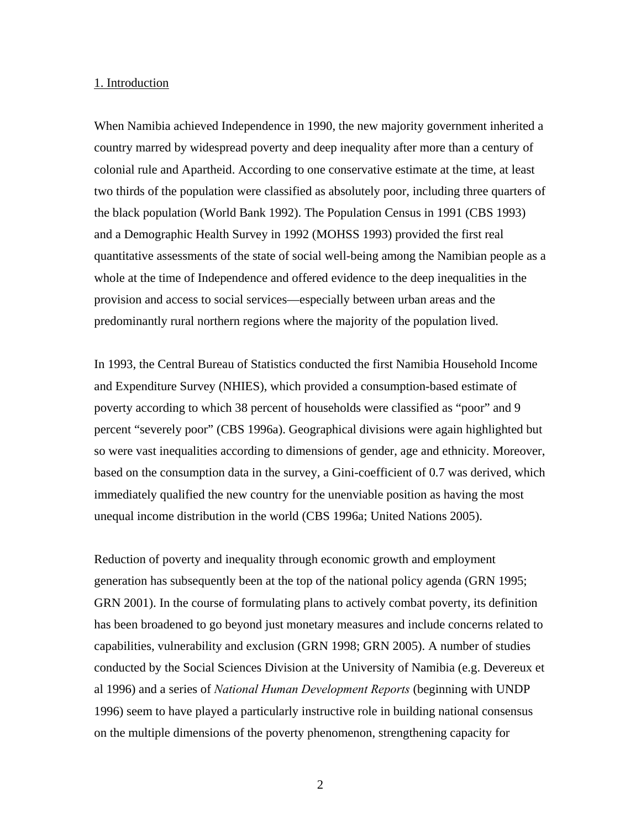### 1. Introduction

When Namibia achieved Independence in 1990, the new majority government inherited a country marred by widespread poverty and deep inequality after more than a century of colonial rule and Apartheid. According to one conservative estimate at the time, at least two thirds of the population were classified as absolutely poor, including three quarters of the black population (World Bank 1992). The Population Census in 1991 (CBS 1993) and a Demographic Health Survey in 1992 (MOHSS 1993) provided the first real quantitative assessments of the state of social well-being among the Namibian people as a whole at the time of Independence and offered evidence to the deep inequalities in the provision and access to social services—especially between urban areas and the predominantly rural northern regions where the majority of the population lived.

In 1993, the Central Bureau of Statistics conducted the first Namibia Household Income and Expenditure Survey (NHIES), which provided a consumption-based estimate of poverty according to which 38 percent of households were classified as "poor" and 9 percent "severely poor" (CBS 1996a). Geographical divisions were again highlighted but so were vast inequalities according to dimensions of gender, age and ethnicity. Moreover, based on the consumption data in the survey, a Gini-coefficient of 0.7 was derived, which immediately qualified the new country for the unenviable position as having the most unequal income distribution in the world (CBS 1996a; United Nations 2005).

Reduction of poverty and inequality through economic growth and employment generation has subsequently been at the top of the national policy agenda (GRN 1995; GRN 2001). In the course of formulating plans to actively combat poverty, its definition has been broadened to go beyond just monetary measures and include concerns related to capabilities, vulnerability and exclusion (GRN 1998; GRN 2005). A number of studies conducted by the Social Sciences Division at the University of Namibia (e.g. Devereux et al 1996) and a series of *National Human Development Reports* (beginning with UNDP 1996) seem to have played a particularly instructive role in building national consensus on the multiple dimensions of the poverty phenomenon, strengthening capacity for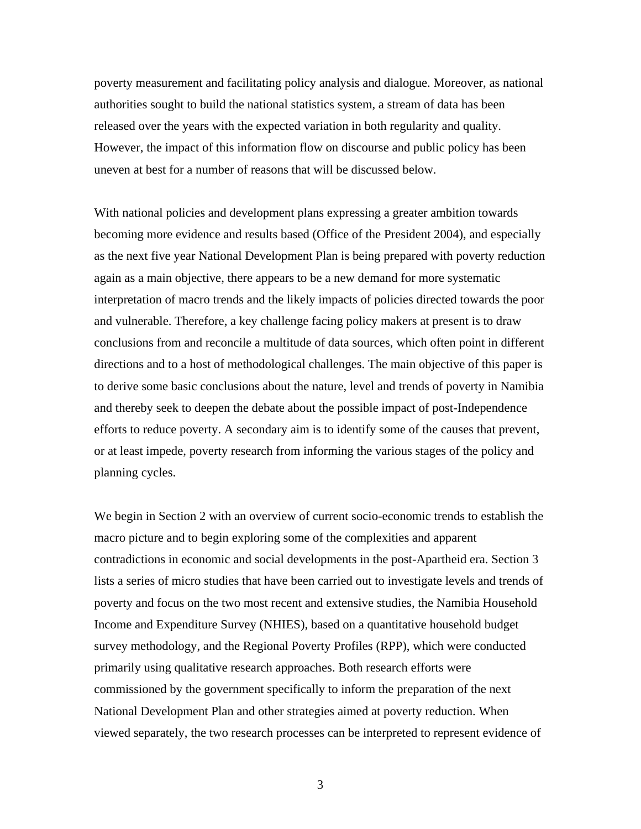poverty measurement and facilitating policy analysis and dialogue. Moreover, as national authorities sought to build the national statistics system, a stream of data has been released over the years with the expected variation in both regularity and quality. However, the impact of this information flow on discourse and public policy has been uneven at best for a number of reasons that will be discussed below.

With national policies and development plans expressing a greater ambition towards becoming more evidence and results based (Office of the President 2004), and especially as the next five year National Development Plan is being prepared with poverty reduction again as a main objective, there appears to be a new demand for more systematic interpretation of macro trends and the likely impacts of policies directed towards the poor and vulnerable. Therefore, a key challenge facing policy makers at present is to draw conclusions from and reconcile a multitude of data sources, which often point in different directions and to a host of methodological challenges. The main objective of this paper is to derive some basic conclusions about the nature, level and trends of poverty in Namibia and thereby seek to deepen the debate about the possible impact of post-Independence efforts to reduce poverty. A secondary aim is to identify some of the causes that prevent, or at least impede, poverty research from informing the various stages of the policy and planning cycles.

We begin in Section 2 with an overview of current socio-economic trends to establish the macro picture and to begin exploring some of the complexities and apparent contradictions in economic and social developments in the post-Apartheid era. Section 3 lists a series of micro studies that have been carried out to investigate levels and trends of poverty and focus on the two most recent and extensive studies, the Namibia Household Income and Expenditure Survey (NHIES), based on a quantitative household budget survey methodology, and the Regional Poverty Profiles (RPP), which were conducted primarily using qualitative research approaches. Both research efforts were commissioned by the government specifically to inform the preparation of the next National Development Plan and other strategies aimed at poverty reduction. When viewed separately, the two research processes can be interpreted to represent evidence of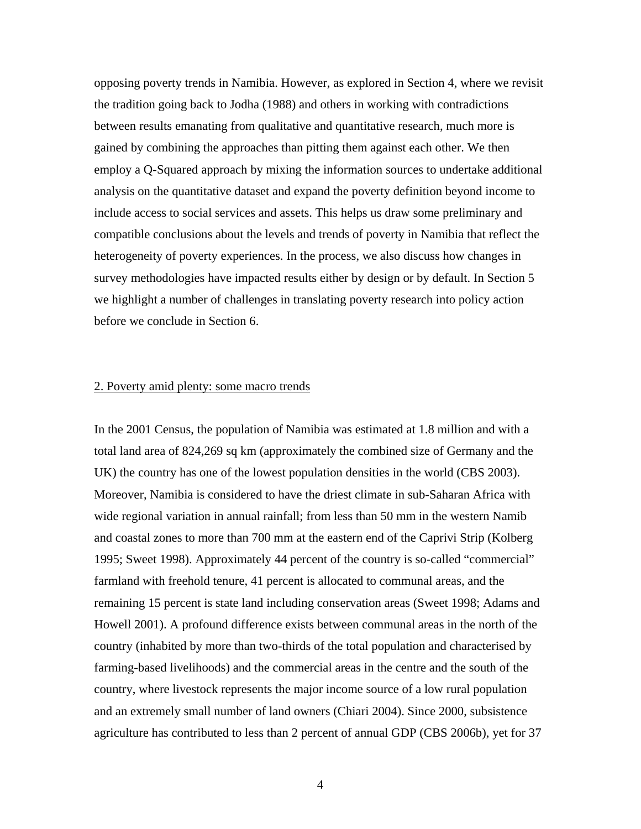opposing poverty trends in Namibia. However, as explored in Section 4, where we revisit the tradition going back to Jodha (1988) and others in working with contradictions between results emanating from qualitative and quantitative research, much more is gained by combining the approaches than pitting them against each other. We then employ a Q-Squared approach by mixing the information sources to undertake additional analysis on the quantitative dataset and expand the poverty definition beyond income to include access to social services and assets. This helps us draw some preliminary and compatible conclusions about the levels and trends of poverty in Namibia that reflect the heterogeneity of poverty experiences. In the process, we also discuss how changes in survey methodologies have impacted results either by design or by default. In Section 5 we highlight a number of challenges in translating poverty research into policy action before we conclude in Section 6.

### 2. Poverty amid plenty: some macro trends

In the 2001 Census, the population of Namibia was estimated at 1.8 million and with a total land area of 824,269 sq km (approximately the combined size of Germany and the UK) the country has one of the lowest population densities in the world (CBS 2003). Moreover, Namibia is considered to have the driest climate in sub-Saharan Africa with wide regional variation in annual rainfall; from less than 50 mm in the western Namib and coastal zones to more than 700 mm at the eastern end of the Caprivi Strip (Kolberg 1995; Sweet 1998). Approximately 44 percent of the country is so-called "commercial" farmland with freehold tenure, 41 percent is allocated to communal areas, and the remaining 15 percent is state land including conservation areas (Sweet 1998; Adams and Howell 2001). A profound difference exists between communal areas in the north of the country (inhabited by more than two-thirds of the total population and characterised by farming-based livelihoods) and the commercial areas in the centre and the south of the country, where livestock represents the major income source of a low rural population and an extremely small number of land owners (Chiari 2004). Since 2000, subsistence agriculture has contributed to less than 2 percent of annual GDP (CBS 2006b), yet for 37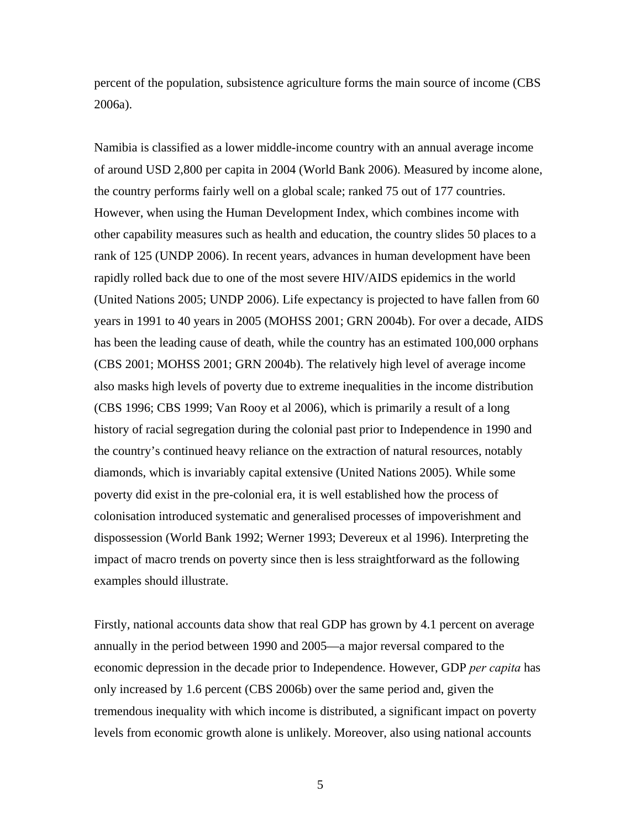percent of the population, subsistence agriculture forms the main source of income (CBS 2006a).

Namibia is classified as a lower middle-income country with an annual average income of around USD 2,800 per capita in 2004 (World Bank 2006). Measured by income alone, the country performs fairly well on a global scale; ranked 75 out of 177 countries. However, when using the Human Development Index, which combines income with other capability measures such as health and education, the country slides 50 places to a rank of 125 (UNDP 2006). In recent years, advances in human development have been rapidly rolled back due to one of the most severe HIV/AIDS epidemics in the world (United Nations 2005; UNDP 2006). Life expectancy is projected to have fallen from 60 years in 1991 to 40 years in 2005 (MOHSS 2001; GRN 2004b). For over a decade, AIDS has been the leading cause of death, while the country has an estimated 100,000 orphans (CBS 2001; MOHSS 2001; GRN 2004b). The relatively high level of average income also masks high levels of poverty due to extreme inequalities in the income distribution (CBS 1996; CBS 1999; Van Rooy et al 2006), which is primarily a result of a long history of racial segregation during the colonial past prior to Independence in 1990 and the country's continued heavy reliance on the extraction of natural resources, notably diamonds, which is invariably capital extensive (United Nations 2005). While some poverty did exist in the pre-colonial era, it is well established how the process of colonisation introduced systematic and generalised processes of impoverishment and dispossession (World Bank 1992; Werner 1993; Devereux et al 1996). Interpreting the impact of macro trends on poverty since then is less straightforward as the following examples should illustrate.

Firstly, national accounts data show that real GDP has grown by 4.1 percent on average annually in the period between 1990 and 2005—a major reversal compared to the economic depression in the decade prior to Independence. However, GDP *per capita* has only increased by 1.6 percent (CBS 2006b) over the same period and, given the tremendous inequality with which income is distributed, a significant impact on poverty levels from economic growth alone is unlikely. Moreover, also using national accounts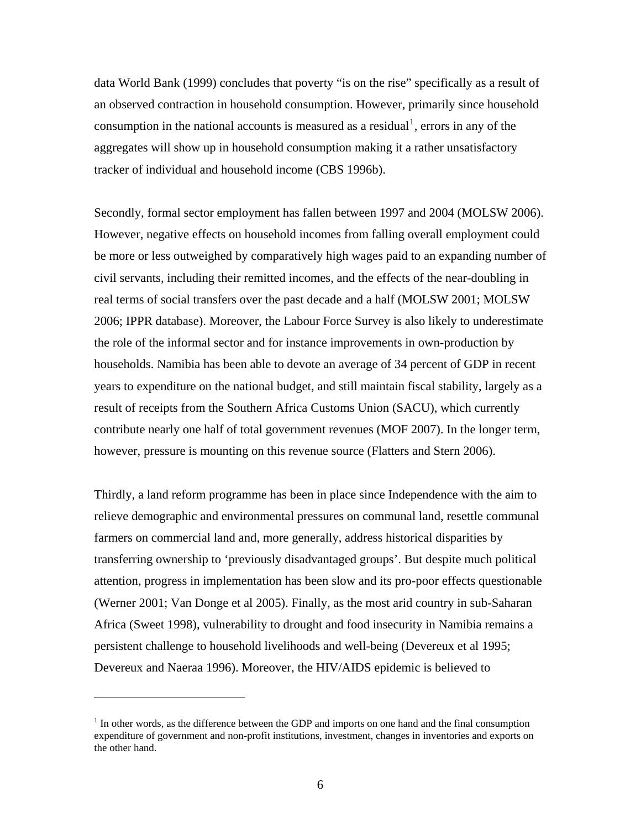data World Bank (1999) concludes that poverty "is on the rise" specifically as a result of an observed contraction in household consumption. However, primarily since household consumption in the national accounts is measured as a residual<sup>[1](#page-5-0)</sup>, errors in any of the aggregates will show up in household consumption making it a rather unsatisfactory tracker of individual and household income (CBS 1996b).

Secondly, formal sector employment has fallen between 1997 and 2004 (MOLSW 2006). However, negative effects on household incomes from falling overall employment could be more or less outweighed by comparatively high wages paid to an expanding number of civil servants, including their remitted incomes, and the effects of the near-doubling in real terms of social transfers over the past decade and a half (MOLSW 2001; MOLSW 2006; IPPR database). Moreover, the Labour Force Survey is also likely to underestimate the role of the informal sector and for instance improvements in own-production by households. Namibia has been able to devote an average of 34 percent of GDP in recent years to expenditure on the national budget, and still maintain fiscal stability, largely as a result of receipts from the Southern Africa Customs Union (SACU), which currently contribute nearly one half of total government revenues (MOF 2007). In the longer term, however, pressure is mounting on this revenue source (Flatters and Stern 2006).

Thirdly, a land reform programme has been in place since Independence with the aim to relieve demographic and environmental pressures on communal land, resettle communal farmers on commercial land and, more generally, address historical disparities by transferring ownership to 'previously disadvantaged groups'. But despite much political attention, progress in implementation has been slow and its pro-poor effects questionable (Werner 2001; Van Donge et al 2005). Finally, as the most arid country in sub-Saharan Africa (Sweet 1998), vulnerability to drought and food insecurity in Namibia remains a persistent challenge to household livelihoods and well-being (Devereux et al 1995; Devereux and Naeraa 1996). Moreover, the HIV/AIDS epidemic is believed to

 $\overline{a}$ 

<span id="page-5-0"></span> $<sup>1</sup>$  In other words, as the difference between the GDP and imports on one hand and the final consumption</sup> expenditure of government and non-profit institutions, investment, changes in inventories and exports on the other hand.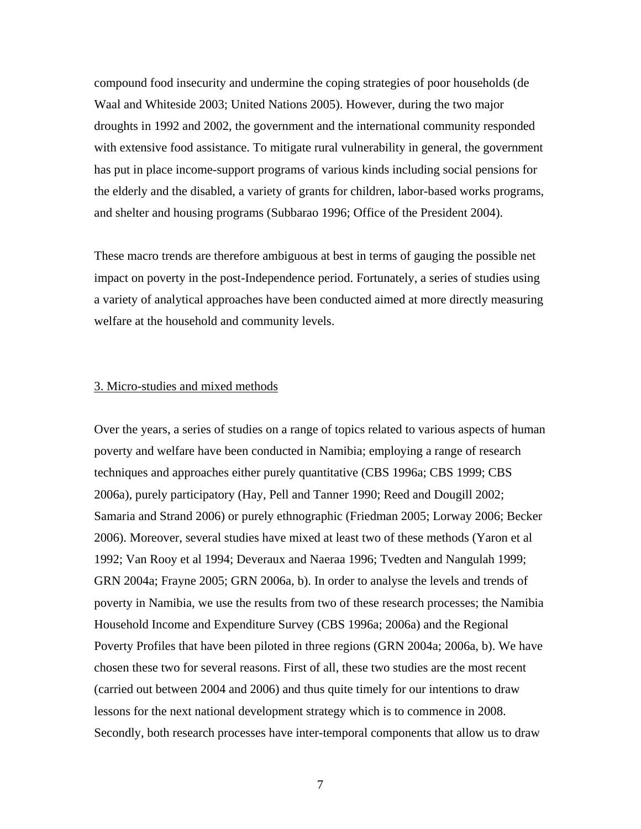compound food insecurity and undermine the coping strategies of poor households (de Waal and Whiteside 2003; United Nations 2005). However, during the two major droughts in 1992 and 2002, the government and the international community responded with extensive food assistance. To mitigate rural vulnerability in general, the government has put in place income-support programs of various kinds including social pensions for the elderly and the disabled, a variety of grants for children, labor-based works programs, and shelter and housing programs (Subbarao 1996; Office of the President 2004).

These macro trends are therefore ambiguous at best in terms of gauging the possible net impact on poverty in the post-Independence period. Fortunately, a series of studies using a variety of analytical approaches have been conducted aimed at more directly measuring welfare at the household and community levels.

### 3. Micro-studies and mixed methods

Over the years, a series of studies on a range of topics related to various aspects of human poverty and welfare have been conducted in Namibia; employing a range of research techniques and approaches either purely quantitative (CBS 1996a; CBS 1999; CBS 2006a), purely participatory (Hay, Pell and Tanner 1990; Reed and Dougill 2002; Samaria and Strand 2006) or purely ethnographic (Friedman 2005; Lorway 2006; Becker 2006). Moreover, several studies have mixed at least two of these methods (Yaron et al 1992; Van Rooy et al 1994; Deveraux and Naeraa 1996; Tvedten and Nangulah 1999; GRN 2004a; Frayne 2005; GRN 2006a, b). In order to analyse the levels and trends of poverty in Namibia, we use the results from two of these research processes; the Namibia Household Income and Expenditure Survey (CBS 1996a; 2006a) and the Regional Poverty Profiles that have been piloted in three regions (GRN 2004a; 2006a, b). We have chosen these two for several reasons. First of all, these two studies are the most recent (carried out between 2004 and 2006) and thus quite timely for our intentions to draw lessons for the next national development strategy which is to commence in 2008. Secondly, both research processes have inter-temporal components that allow us to draw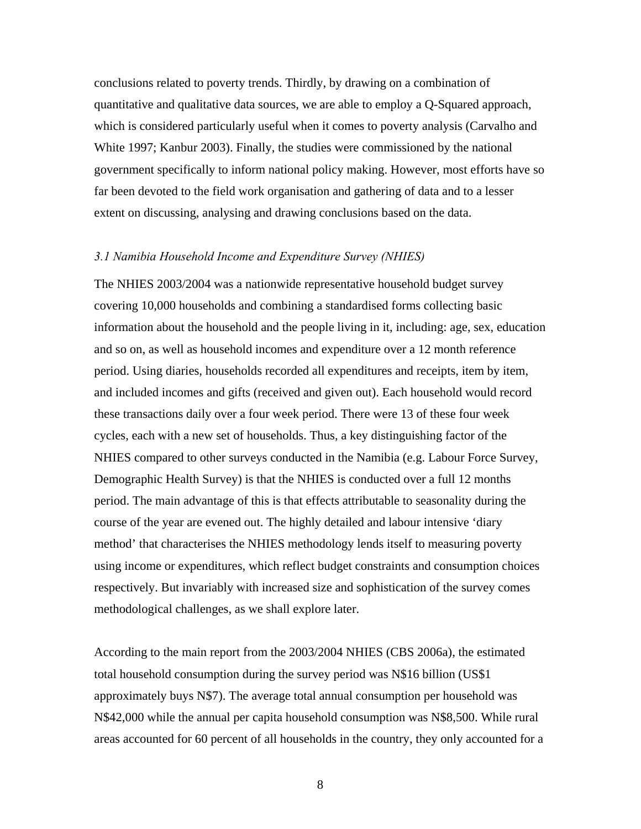conclusions related to poverty trends. Thirdly, by drawing on a combination of quantitative and qualitative data sources, we are able to employ a Q-Squared approach, which is considered particularly useful when it comes to poverty analysis (Carvalho and White 1997; Kanbur 2003). Finally, the studies were commissioned by the national government specifically to inform national policy making. However, most efforts have so far been devoted to the field work organisation and gathering of data and to a lesser extent on discussing, analysing and drawing conclusions based on the data.

### *3.1 Namibia Household Income and Expenditure Survey (NHIES)*

The NHIES 2003/2004 was a nationwide representative household budget survey covering 10,000 households and combining a standardised forms collecting basic information about the household and the people living in it, including: age, sex, education and so on, as well as household incomes and expenditure over a 12 month reference period. Using diaries, households recorded all expenditures and receipts, item by item, and included incomes and gifts (received and given out). Each household would record these transactions daily over a four week period. There were 13 of these four week cycles, each with a new set of households. Thus, a key distinguishing factor of the NHIES compared to other surveys conducted in the Namibia (e.g. Labour Force Survey, Demographic Health Survey) is that the NHIES is conducted over a full 12 months period. The main advantage of this is that effects attributable to seasonality during the course of the year are evened out. The highly detailed and labour intensive 'diary method' that characterises the NHIES methodology lends itself to measuring poverty using income or expenditures, which reflect budget constraints and consumption choices respectively. But invariably with increased size and sophistication of the survey comes methodological challenges, as we shall explore later.

According to the main report from the 2003/2004 NHIES (CBS 2006a), the estimated total household consumption during the survey period was N\$16 billion (US\$1 approximately buys N\$7). The average total annual consumption per household was N\$42,000 while the annual per capita household consumption was N\$8,500. While rural areas accounted for 60 percent of all households in the country, they only accounted for a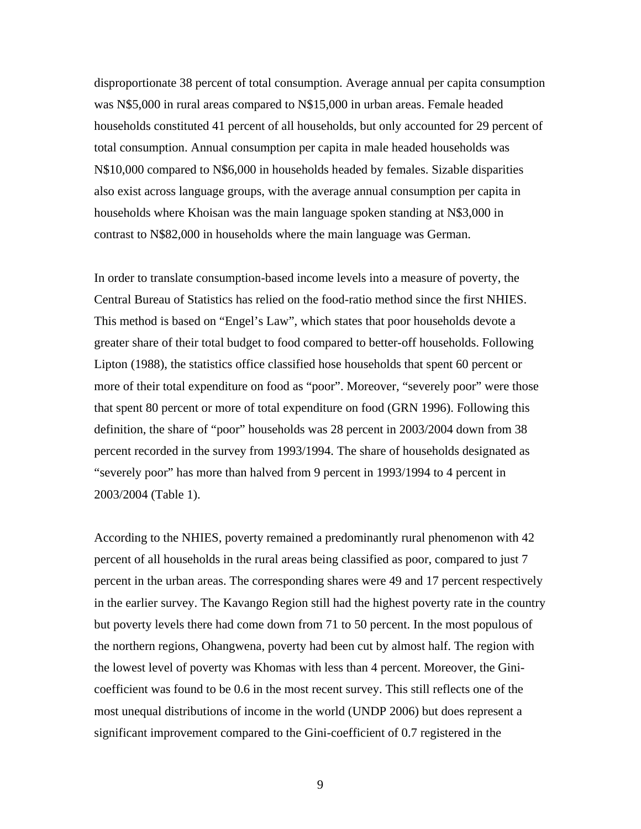disproportionate 38 percent of total consumption. Average annual per capita consumption was N\$5,000 in rural areas compared to N\$15,000 in urban areas. Female headed households constituted 41 percent of all households, but only accounted for 29 percent of total consumption. Annual consumption per capita in male headed households was N\$10,000 compared to N\$6,000 in households headed by females. Sizable disparities also exist across language groups, with the average annual consumption per capita in households where Khoisan was the main language spoken standing at N\$3,000 in contrast to N\$82,000 in households where the main language was German.

In order to translate consumption-based income levels into a measure of poverty, the Central Bureau of Statistics has relied on the food-ratio method since the first NHIES. This method is based on "Engel's Law", which states that poor households devote a greater share of their total budget to food compared to better-off households. Following Lipton (1988), the statistics office classified hose households that spent 60 percent or more of their total expenditure on food as "poor". Moreover, "severely poor" were those that spent 80 percent or more of total expenditure on food (GRN 1996). Following this definition, the share of "poor" households was 28 percent in 2003/2004 down from 38 percent recorded in the survey from 1993/1994. The share of households designated as "severely poor" has more than halved from 9 percent in 1993/1994 to 4 percent in 2003/2004 [\(Table 1\)](#page-42-0).

According to the NHIES, poverty remained a predominantly rural phenomenon with 42 percent of all households in the rural areas being classified as poor, compared to just 7 percent in the urban areas. The corresponding shares were 49 and 17 percent respectively in the earlier survey. The Kavango Region still had the highest poverty rate in the country but poverty levels there had come down from 71 to 50 percent. In the most populous of the northern regions, Ohangwena, poverty had been cut by almost half. The region with the lowest level of poverty was Khomas with less than 4 percent. Moreover, the Ginicoefficient was found to be 0.6 in the most recent survey. This still reflects one of the most unequal distributions of income in the world (UNDP 2006) but does represent a significant improvement compared to the Gini-coefficient of 0.7 registered in the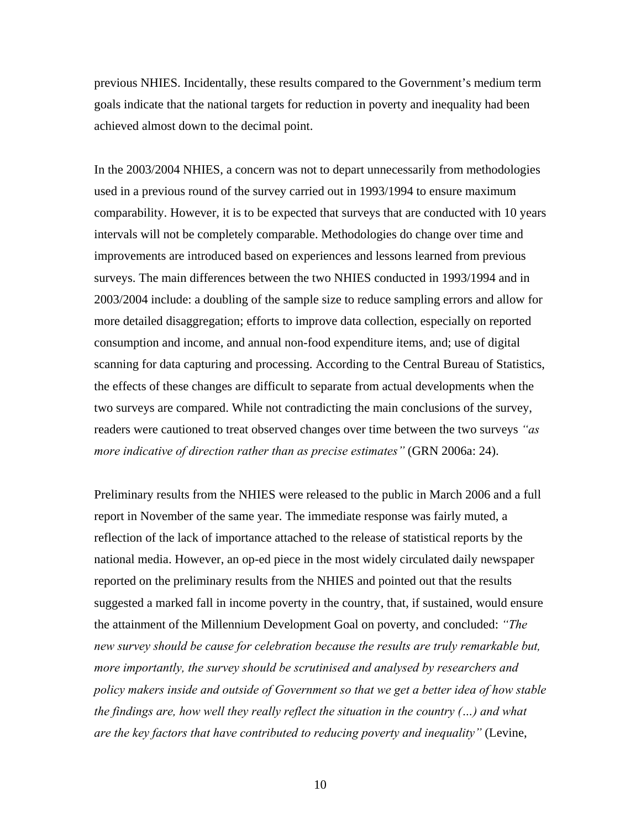previous NHIES. Incidentally, these results compared to the Government's medium term goals indicate that the national targets for reduction in poverty and inequality had been achieved almost down to the decimal point.

In the 2003/2004 NHIES, a concern was not to depart unnecessarily from methodologies used in a previous round of the survey carried out in 1993/1994 to ensure maximum comparability. However, it is to be expected that surveys that are conducted with 10 years intervals will not be completely comparable. Methodologies do change over time and improvements are introduced based on experiences and lessons learned from previous surveys. The main differences between the two NHIES conducted in 1993/1994 and in 2003/2004 include: a doubling of the sample size to reduce sampling errors and allow for more detailed disaggregation; efforts to improve data collection, especially on reported consumption and income, and annual non-food expenditure items, and; use of digital scanning for data capturing and processing. According to the Central Bureau of Statistics, the effects of these changes are difficult to separate from actual developments when the two surveys are compared. While not contradicting the main conclusions of the survey, readers were cautioned to treat observed changes over time between the two surveys *"as more indicative of direction rather than as precise estimates"* (GRN 2006a: 24).

Preliminary results from the NHIES were released to the public in March 2006 and a full report in November of the same year. The immediate response was fairly muted, a reflection of the lack of importance attached to the release of statistical reports by the national media. However, an op-ed piece in the most widely circulated daily newspaper reported on the preliminary results from the NHIES and pointed out that the results suggested a marked fall in income poverty in the country, that, if sustained, would ensure the attainment of the Millennium Development Goal on poverty, and concluded: *"The new survey should be cause for celebration because the results are truly remarkable but, more importantly, the survey should be scrutinised and analysed by researchers and policy makers inside and outside of Government so that we get a better idea of how stable the findings are, how well they really reflect the situation in the country (…) and what are the key factors that have contributed to reducing poverty and inequality"* (Levine,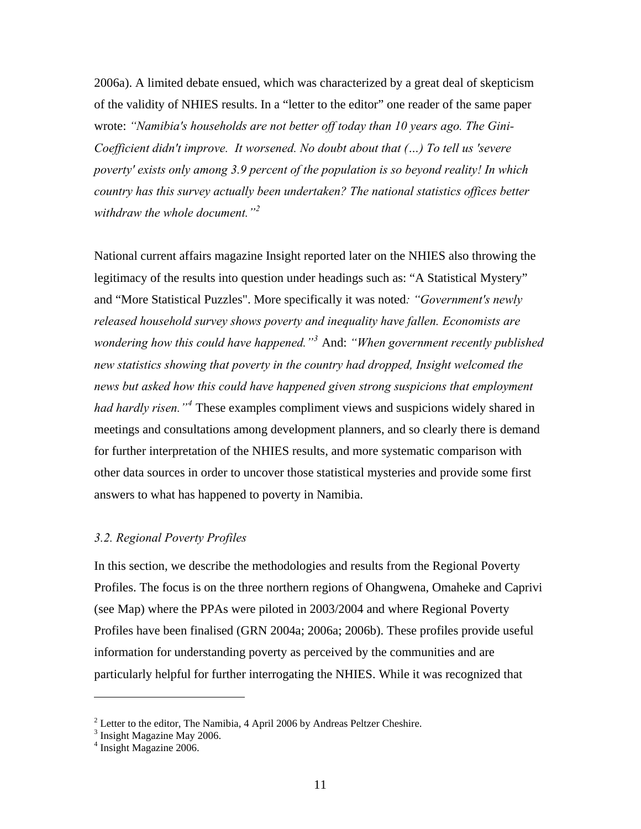2006a). A limited debate ensued, which was characterized by a great deal of skepticism of the validity of NHIES results. In a "letter to the editor" one reader of the same paper wrote: *"Namibia's households are not better off today than 10 years ago. The Gini-Coefficient didn't improve. It worsened. No doubt about that (…) To tell us 'severe poverty' exists only among 3.9 percent of the population is so beyond reality! In which country has this survey actually been undertaken? The national statistics offices better withdraw the whole document."[2](#page-10-0)*

National current affairs magazine Insight reported later on the NHIES also throwing the legitimacy of the results into question under headings such as: "A Statistical Mystery" and "More Statistical Puzzles". More specifically it was noted*: "Government's newly released household survey shows poverty and inequality have fallen. Economists are wondering how this could have happened."[3](#page-10-1)* And: *"When government recently published new statistics showing that poverty in the country had dropped, Insight welcomed the*  news but asked how this could have happened given strong suspicions that employment *had hardly risen."[4](#page-10-2)* These examples compliment views and suspicions widely shared in meetings and consultations among development planners, and so clearly there is demand for further interpretation of the NHIES results, and more systematic comparison with other data sources in order to uncover those statistical mysteries and provide some first answers to what has happened to poverty in Namibia.

### *3.2. Regional Poverty Profiles*

In this section, we describe the methodologies and results from the Regional Poverty Profiles. The focus is on the three northern regions of Ohangwena, Omaheke and Caprivi (see Map) where the PPAs were piloted in 2003/2004 and where Regional Poverty Profiles have been finalised (GRN 2004a; 2006a; 2006b). These profiles provide useful information for understanding poverty as perceived by the communities and are particularly helpful for further interrogating the NHIES. While it was recognized that

 $\overline{a}$ 

<sup>&</sup>lt;sup>2</sup> Letter to the editor, The Namibia, 4 April 2006 by Andreas Peltzer Cheshire.

<span id="page-10-2"></span><span id="page-10-1"></span><span id="page-10-0"></span> $3$  Insight Magazine May 2006.

<sup>4</sup> Insight Magazine 2006.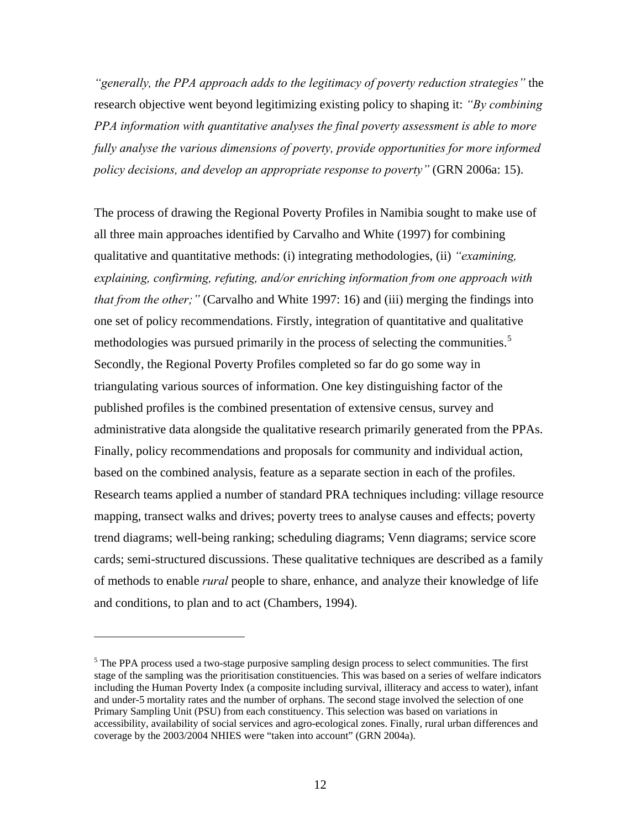*"generally, the PPA approach adds to the legitimacy of poverty reduction strategies"* the research objective went beyond legitimizing existing policy to shaping it: *"By combining PPA information with quantitative analyses the final poverty assessment is able to more fully analyse the various dimensions of poverty, provide opportunities for more informed policy decisions, and develop an appropriate response to poverty"* (GRN 2006a: 15).

The process of drawing the Regional Poverty Profiles in Namibia sought to make use of all three main approaches identified by Carvalho and White (1997) for combining qualitative and quantitative methods: (i) integrating methodologies, (ii) *"examining, explaining, confirming, refuting, and/or enriching information from one approach with that from the other;*" (Carvalho and White 1997: 16) and (iii) merging the findings into one set of policy recommendations. Firstly, integration of quantitative and qualitative methodologies was pursued primarily in the process of selecting the communities.<sup>[5](#page-11-0)</sup> Secondly, the Regional Poverty Profiles completed so far do go some way in triangulating various sources of information. One key distinguishing factor of the published profiles is the combined presentation of extensive census, survey and administrative data alongside the qualitative research primarily generated from the PPAs. Finally, policy recommendations and proposals for community and individual action, based on the combined analysis, feature as a separate section in each of the profiles. Research teams applied a number of standard PRA techniques including: village resource mapping, transect walks and drives; poverty trees to analyse causes and effects; poverty trend diagrams; well-being ranking; scheduling diagrams; Venn diagrams; service score cards; semi-structured discussions. These qualitative techniques are described as a family of methods to enable *rural* people to share, enhance, and analyze their knowledge of life and conditions, to plan and to act (Chambers, 1994).

 $\overline{a}$ 

<span id="page-11-0"></span><sup>&</sup>lt;sup>5</sup> The PPA process used a two-stage purposive sampling design process to select communities. The first stage of the sampling was the prioritisation constituencies. This was based on a series of welfare indicators including the Human Poverty Index (a composite including survival, illiteracy and access to water), infant and under-5 mortality rates and the number of orphans. The second stage involved the selection of one Primary Sampling Unit (PSU) from each constituency. This selection was based on variations in accessibility, availability of social services and agro-ecological zones. Finally, rural urban differences and coverage by the 2003/2004 NHIES were "taken into account" (GRN 2004a).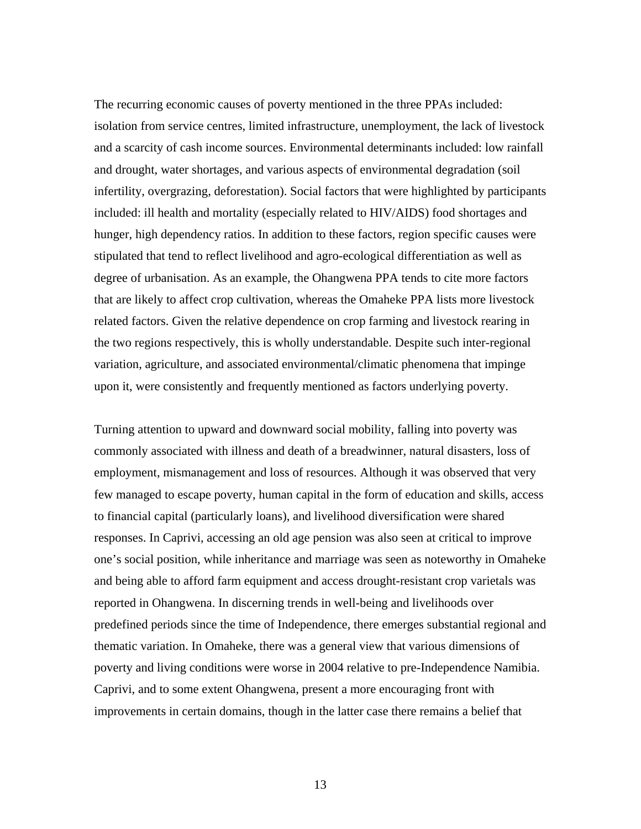The recurring economic causes of poverty mentioned in the three PPAs included: isolation from service centres, limited infrastructure, unemployment, the lack of livestock and a scarcity of cash income sources. Environmental determinants included: low rainfall and drought, water shortages, and various aspects of environmental degradation (soil infertility, overgrazing, deforestation). Social factors that were highlighted by participants included: ill health and mortality (especially related to HIV/AIDS) food shortages and hunger, high dependency ratios. In addition to these factors, region specific causes were stipulated that tend to reflect livelihood and agro-ecological differentiation as well as degree of urbanisation. As an example, the Ohangwena PPA tends to cite more factors that are likely to affect crop cultivation, whereas the Omaheke PPA lists more livestock related factors. Given the relative dependence on crop farming and livestock rearing in the two regions respectively, this is wholly understandable. Despite such inter-regional variation, agriculture, and associated environmental/climatic phenomena that impinge upon it, were consistently and frequently mentioned as factors underlying poverty.

Turning attention to upward and downward social mobility, falling into poverty was commonly associated with illness and death of a breadwinner, natural disasters, loss of employment, mismanagement and loss of resources. Although it was observed that very few managed to escape poverty, human capital in the form of education and skills, access to financial capital (particularly loans), and livelihood diversification were shared responses. In Caprivi, accessing an old age pension was also seen at critical to improve one's social position, while inheritance and marriage was seen as noteworthy in Omaheke and being able to afford farm equipment and access drought-resistant crop varietals was reported in Ohangwena. In discerning trends in well-being and livelihoods over predefined periods since the time of Independence, there emerges substantial regional and thematic variation. In Omaheke, there was a general view that various dimensions of poverty and living conditions were worse in 2004 relative to pre-Independence Namibia. Caprivi, and to some extent Ohangwena, present a more encouraging front with improvements in certain domains, though in the latter case there remains a belief that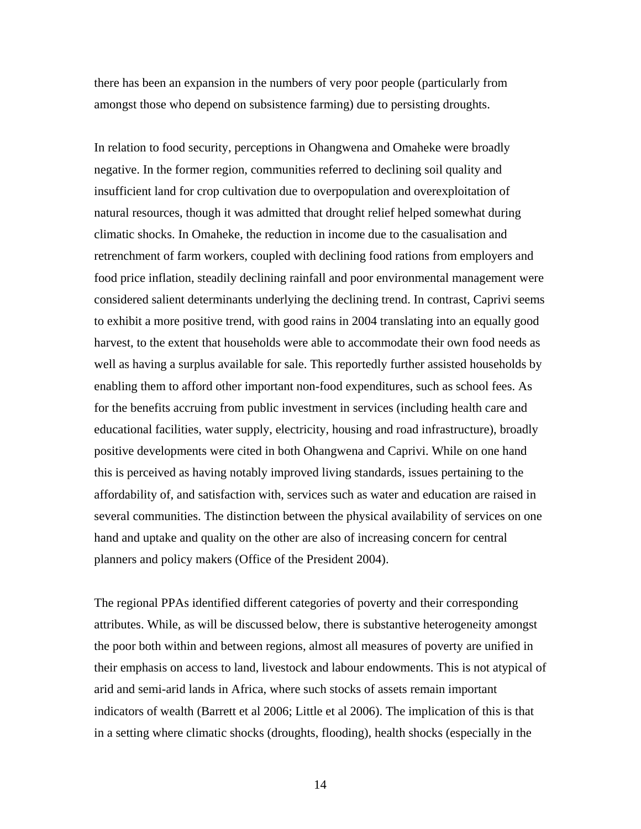there has been an expansion in the numbers of very poor people (particularly from amongst those who depend on subsistence farming) due to persisting droughts.

In relation to food security, perceptions in Ohangwena and Omaheke were broadly negative. In the former region, communities referred to declining soil quality and insufficient land for crop cultivation due to overpopulation and overexploitation of natural resources, though it was admitted that drought relief helped somewhat during climatic shocks. In Omaheke, the reduction in income due to the casualisation and retrenchment of farm workers, coupled with declining food rations from employers and food price inflation, steadily declining rainfall and poor environmental management were considered salient determinants underlying the declining trend. In contrast, Caprivi seems to exhibit a more positive trend, with good rains in 2004 translating into an equally good harvest, to the extent that households were able to accommodate their own food needs as well as having a surplus available for sale. This reportedly further assisted households by enabling them to afford other important non-food expenditures, such as school fees. As for the benefits accruing from public investment in services (including health care and educational facilities, water supply, electricity, housing and road infrastructure), broadly positive developments were cited in both Ohangwena and Caprivi. While on one hand this is perceived as having notably improved living standards, issues pertaining to the affordability of, and satisfaction with, services such as water and education are raised in several communities. The distinction between the physical availability of services on one hand and uptake and quality on the other are also of increasing concern for central planners and policy makers (Office of the President 2004).

The regional PPAs identified different categories of poverty and their corresponding attributes. While, as will be discussed below, there is substantive heterogeneity amongst the poor both within and between regions, almost all measures of poverty are unified in their emphasis on access to land, livestock and labour endowments. This is not atypical of arid and semi-arid lands in Africa, where such stocks of assets remain important indicators of wealth (Barrett et al 2006; Little et al 2006). The implication of this is that in a setting where climatic shocks (droughts, flooding), health shocks (especially in the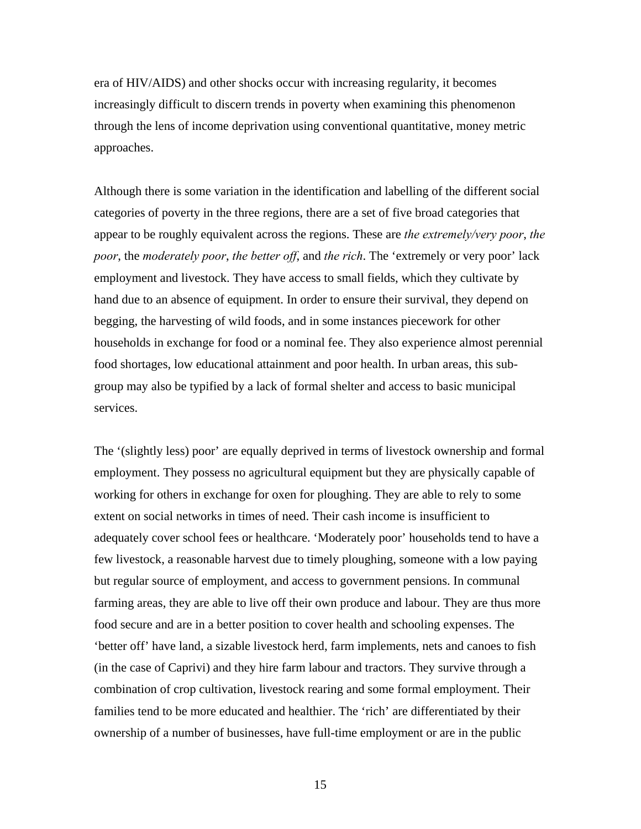era of HIV/AIDS) and other shocks occur with increasing regularity, it becomes increasingly difficult to discern trends in poverty when examining this phenomenon through the lens of income deprivation using conventional quantitative, money metric approaches.

Although there is some variation in the identification and labelling of the different social categories of poverty in the three regions, there are a set of five broad categories that appear to be roughly equivalent across the regions. These are *the extremely/very poor*, *the poor*, the *moderately poor*, *the better off*, and *the rich*. The 'extremely or very poor' lack employment and livestock. They have access to small fields, which they cultivate by hand due to an absence of equipment. In order to ensure their survival, they depend on begging, the harvesting of wild foods, and in some instances piecework for other households in exchange for food or a nominal fee. They also experience almost perennial food shortages, low educational attainment and poor health. In urban areas, this subgroup may also be typified by a lack of formal shelter and access to basic municipal services.

The '(slightly less) poor' are equally deprived in terms of livestock ownership and formal employment. They possess no agricultural equipment but they are physically capable of working for others in exchange for oxen for ploughing. They are able to rely to some extent on social networks in times of need. Their cash income is insufficient to adequately cover school fees or healthcare. 'Moderately poor' households tend to have a few livestock, a reasonable harvest due to timely ploughing, someone with a low paying but regular source of employment, and access to government pensions. In communal farming areas, they are able to live off their own produce and labour. They are thus more food secure and are in a better position to cover health and schooling expenses. The 'better off' have land, a sizable livestock herd, farm implements, nets and canoes to fish (in the case of Caprivi) and they hire farm labour and tractors. They survive through a combination of crop cultivation, livestock rearing and some formal employment. Their families tend to be more educated and healthier. The 'rich' are differentiated by their ownership of a number of businesses, have full-time employment or are in the public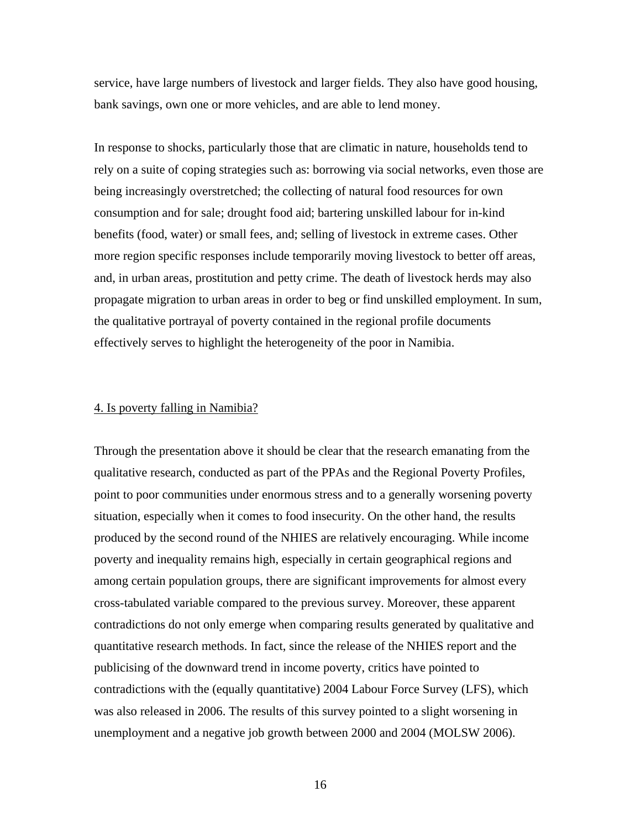service, have large numbers of livestock and larger fields. They also have good housing, bank savings, own one or more vehicles, and are able to lend money.

In response to shocks, particularly those that are climatic in nature, households tend to rely on a suite of coping strategies such as: borrowing via social networks, even those are being increasingly overstretched; the collecting of natural food resources for own consumption and for sale; drought food aid; bartering unskilled labour for in-kind benefits (food, water) or small fees, and; selling of livestock in extreme cases. Other more region specific responses include temporarily moving livestock to better off areas, and, in urban areas, prostitution and petty crime. The death of livestock herds may also propagate migration to urban areas in order to beg or find unskilled employment. In sum, the qualitative portrayal of poverty contained in the regional profile documents effectively serves to highlight the heterogeneity of the poor in Namibia.

### 4. Is poverty falling in Namibia?

Through the presentation above it should be clear that the research emanating from the qualitative research, conducted as part of the PPAs and the Regional Poverty Profiles, point to poor communities under enormous stress and to a generally worsening poverty situation, especially when it comes to food insecurity. On the other hand, the results produced by the second round of the NHIES are relatively encouraging. While income poverty and inequality remains high, especially in certain geographical regions and among certain population groups, there are significant improvements for almost every cross-tabulated variable compared to the previous survey. Moreover, these apparent contradictions do not only emerge when comparing results generated by qualitative and quantitative research methods. In fact, since the release of the NHIES report and the publicising of the downward trend in income poverty, critics have pointed to contradictions with the (equally quantitative) 2004 Labour Force Survey (LFS), which was also released in 2006. The results of this survey pointed to a slight worsening in unemployment and a negative job growth between 2000 and 2004 (MOLSW 2006).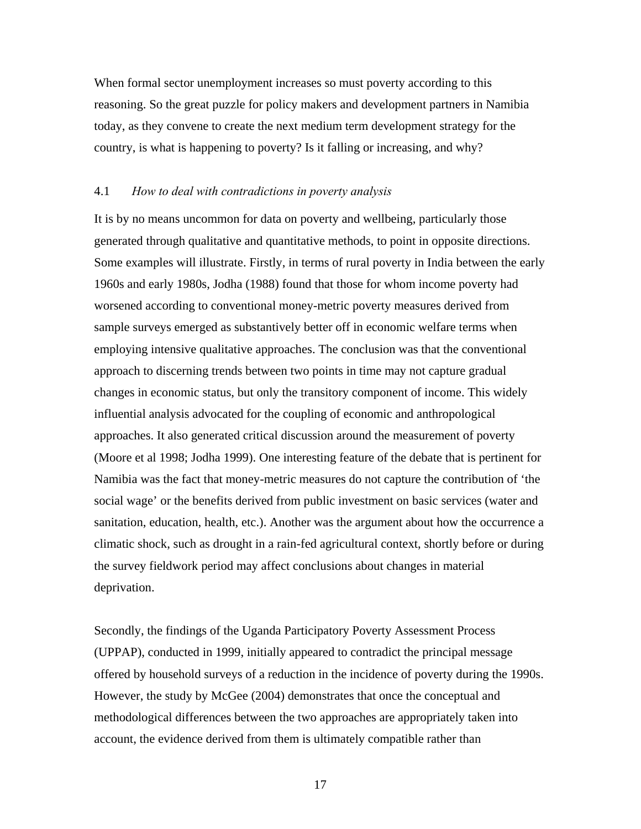When formal sector unemployment increases so must poverty according to this reasoning. So the great puzzle for policy makers and development partners in Namibia today, as they convene to create the next medium term development strategy for the country, is what is happening to poverty? Is it falling or increasing, and why?

### 4.1 *How to deal with contradictions in poverty analysis*

It is by no means uncommon for data on poverty and wellbeing, particularly those generated through qualitative and quantitative methods, to point in opposite directions. Some examples will illustrate. Firstly, in terms of rural poverty in India between the early 1960s and early 1980s, Jodha (1988) found that those for whom income poverty had worsened according to conventional money-metric poverty measures derived from sample surveys emerged as substantively better off in economic welfare terms when employing intensive qualitative approaches. The conclusion was that the conventional approach to discerning trends between two points in time may not capture gradual changes in economic status, but only the transitory component of income. This widely influential analysis advocated for the coupling of economic and anthropological approaches. It also generated critical discussion around the measurement of poverty (Moore et al 1998; Jodha 1999). One interesting feature of the debate that is pertinent for Namibia was the fact that money-metric measures do not capture the contribution of 'the social wage' or the benefits derived from public investment on basic services (water and sanitation, education, health, etc.). Another was the argument about how the occurrence a climatic shock, such as drought in a rain-fed agricultural context, shortly before or during the survey fieldwork period may affect conclusions about changes in material deprivation.

Secondly, the findings of the Uganda Participatory Poverty Assessment Process (UPPAP), conducted in 1999, initially appeared to contradict the principal message offered by household surveys of a reduction in the incidence of poverty during the 1990s. However, the study by McGee (2004) demonstrates that once the conceptual and methodological differences between the two approaches are appropriately taken into account, the evidence derived from them is ultimately compatible rather than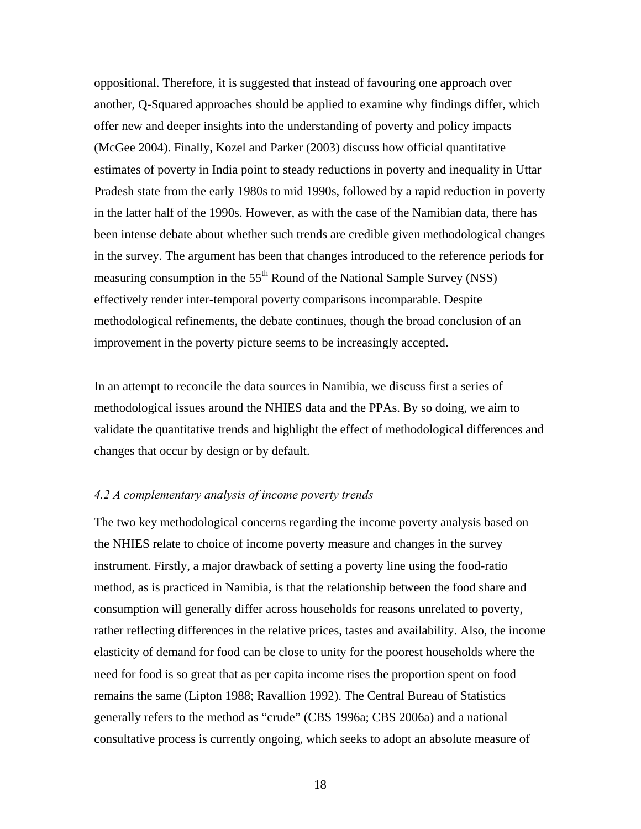oppositional. Therefore, it is suggested that instead of favouring one approach over another, Q-Squared approaches should be applied to examine why findings differ, which offer new and deeper insights into the understanding of poverty and policy impacts (McGee 2004). Finally, Kozel and Parker (2003) discuss how official quantitative estimates of poverty in India point to steady reductions in poverty and inequality in Uttar Pradesh state from the early 1980s to mid 1990s, followed by a rapid reduction in poverty in the latter half of the 1990s. However, as with the case of the Namibian data, there has been intense debate about whether such trends are credible given methodological changes in the survey. The argument has been that changes introduced to the reference periods for measuring consumption in the  $55<sup>th</sup>$  Round of the National Sample Survey (NSS) effectively render inter-temporal poverty comparisons incomparable. Despite methodological refinements, the debate continues, though the broad conclusion of an improvement in the poverty picture seems to be increasingly accepted.

In an attempt to reconcile the data sources in Namibia, we discuss first a series of methodological issues around the NHIES data and the PPAs. By so doing, we aim to validate the quantitative trends and highlight the effect of methodological differences and changes that occur by design or by default.

### *4.2 A complementary analysis of income poverty trends*

The two key methodological concerns regarding the income poverty analysis based on the NHIES relate to choice of income poverty measure and changes in the survey instrument. Firstly, a major drawback of setting a poverty line using the food-ratio method, as is practiced in Namibia, is that the relationship between the food share and consumption will generally differ across households for reasons unrelated to poverty, rather reflecting differences in the relative prices, tastes and availability. Also, the income elasticity of demand for food can be close to unity for the poorest households where the need for food is so great that as per capita income rises the proportion spent on food remains the same (Lipton 1988; Ravallion 1992). The Central Bureau of Statistics generally refers to the method as "crude" (CBS 1996a; CBS 2006a) and a national consultative process is currently ongoing, which seeks to adopt an absolute measure of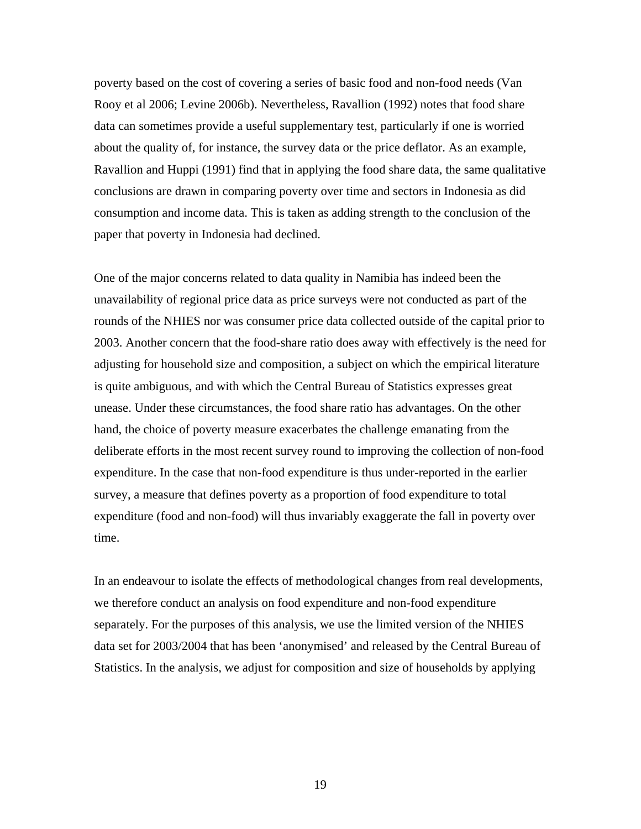poverty based on the cost of covering a series of basic food and non-food needs (Van Rooy et al 2006; Levine 2006b). Nevertheless, Ravallion (1992) notes that food share data can sometimes provide a useful supplementary test, particularly if one is worried about the quality of, for instance, the survey data or the price deflator. As an example, Ravallion and Huppi (1991) find that in applying the food share data, the same qualitative conclusions are drawn in comparing poverty over time and sectors in Indonesia as did consumption and income data. This is taken as adding strength to the conclusion of the paper that poverty in Indonesia had declined.

One of the major concerns related to data quality in Namibia has indeed been the unavailability of regional price data as price surveys were not conducted as part of the rounds of the NHIES nor was consumer price data collected outside of the capital prior to 2003. Another concern that the food-share ratio does away with effectively is the need for adjusting for household size and composition, a subject on which the empirical literature is quite ambiguous, and with which the Central Bureau of Statistics expresses great unease. Under these circumstances, the food share ratio has advantages. On the other hand, the choice of poverty measure exacerbates the challenge emanating from the deliberate efforts in the most recent survey round to improving the collection of non-food expenditure. In the case that non-food expenditure is thus under-reported in the earlier survey, a measure that defines poverty as a proportion of food expenditure to total expenditure (food and non-food) will thus invariably exaggerate the fall in poverty over time.

In an endeavour to isolate the effects of methodological changes from real developments, we therefore conduct an analysis on food expenditure and non-food expenditure separately. For the purposes of this analysis, we use the limited version of the NHIES data set for 2003/2004 that has been 'anonymised' and released by the Central Bureau of Statistics. In the analysis, we adjust for composition and size of households by applying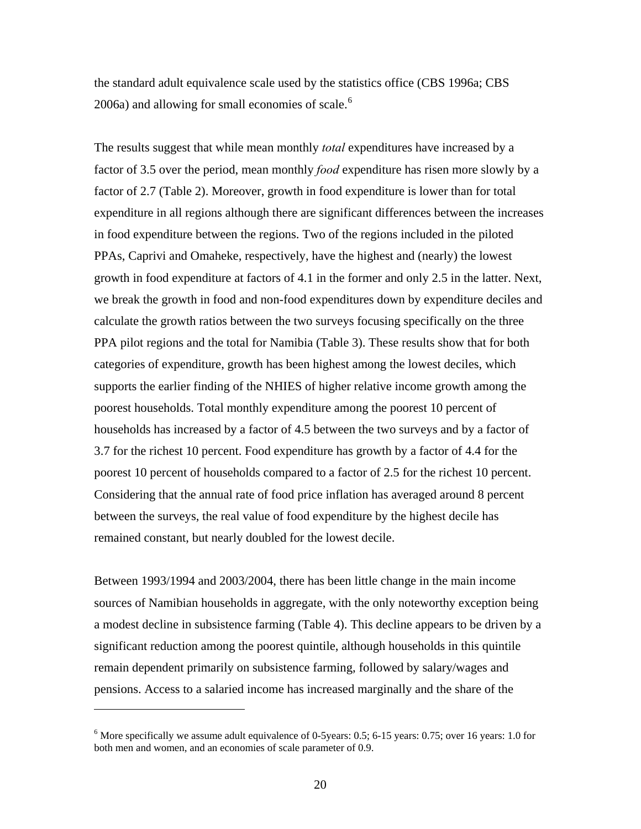the standard adult equivalence scale used by the statistics office (CBS 1996a; CBS 200[6](#page-19-0)a) and allowing for small economies of scale. $<sup>6</sup>$ </sup>

The results suggest that while mean monthly *total* expenditures have increased by a factor of 3.5 over the period, mean monthly *food* expenditure has risen more slowly by a factor of 2.7 ([Table 2](#page-43-0)). Moreover, growth in food expenditure is lower than for total expenditure in all regions although there are significant differences between the increases in food expenditure between the regions. Two of the regions included in the piloted PPAs, Caprivi and Omaheke, respectively, have the highest and (nearly) the lowest growth in food expenditure at factors of 4.1 in the former and only 2.5 in the latter. Next, we break the growth in food and non-food expenditures down by expenditure deciles and calculate the growth ratios between the two surveys focusing specifically on the three PPA pilot regions and the total for Namibia [\(Table 3](#page-44-0)). These results show that for both categories of expenditure, growth has been highest among the lowest deciles, which supports the earlier finding of the NHIES of higher relative income growth among the poorest households. Total monthly expenditure among the poorest 10 percent of households has increased by a factor of 4.5 between the two surveys and by a factor of 3.7 for the richest 10 percent. Food expenditure has growth by a factor of 4.4 for the poorest 10 percent of households compared to a factor of 2.5 for the richest 10 percent. Considering that the annual rate of food price inflation has averaged around 8 percent between the surveys, the real value of food expenditure by the highest decile has remained constant, but nearly doubled for the lowest decile.

Between 1993/1994 and 2003/2004, there has been little change in the main income sources of Namibian households in aggregate, with the only noteworthy exception being a modest decline in subsistence farming ([Table 4\)](#page-44-1). This decline appears to be driven by a significant reduction among the poorest quintile, although households in this quintile remain dependent primarily on subsistence farming, followed by salary/wages and pensions. Access to a salaried income has increased marginally and the share of the

 $\overline{a}$ 

<span id="page-19-0"></span> $6$  More specifically we assume adult equivalence of 0-5years: 0.5; 6-15 years: 0.75; over 16 years: 1.0 for both men and women, and an economies of scale parameter of 0.9.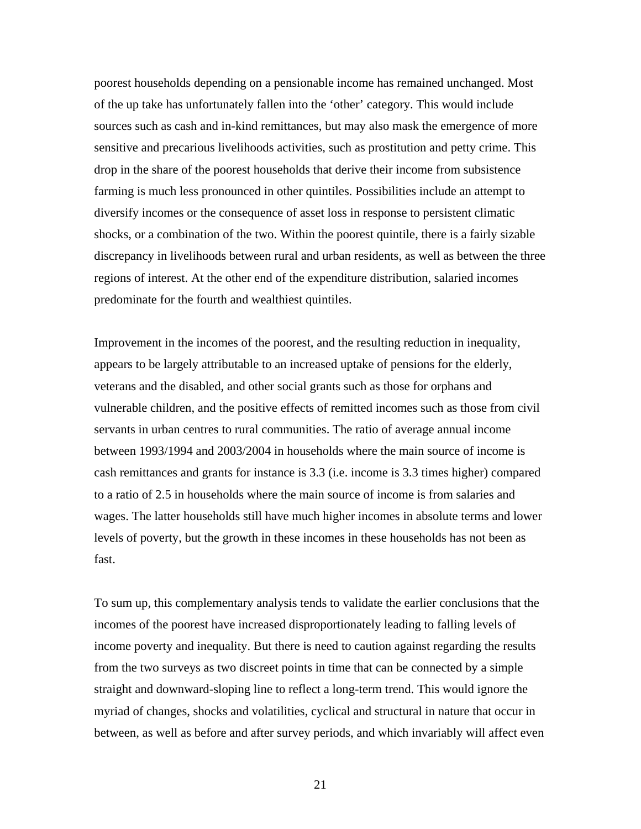poorest households depending on a pensionable income has remained unchanged. Most of the up take has unfortunately fallen into the 'other' category. This would include sources such as cash and in-kind remittances, but may also mask the emergence of more sensitive and precarious livelihoods activities, such as prostitution and petty crime. This drop in the share of the poorest households that derive their income from subsistence farming is much less pronounced in other quintiles. Possibilities include an attempt to diversify incomes or the consequence of asset loss in response to persistent climatic shocks, or a combination of the two. Within the poorest quintile, there is a fairly sizable discrepancy in livelihoods between rural and urban residents, as well as between the three regions of interest. At the other end of the expenditure distribution, salaried incomes predominate for the fourth and wealthiest quintiles.

Improvement in the incomes of the poorest, and the resulting reduction in inequality, appears to be largely attributable to an increased uptake of pensions for the elderly, veterans and the disabled, and other social grants such as those for orphans and vulnerable children, and the positive effects of remitted incomes such as those from civil servants in urban centres to rural communities. The ratio of average annual income between 1993/1994 and 2003/2004 in households where the main source of income is cash remittances and grants for instance is 3.3 (i.e. income is 3.3 times higher) compared to a ratio of 2.5 in households where the main source of income is from salaries and wages. The latter households still have much higher incomes in absolute terms and lower levels of poverty, but the growth in these incomes in these households has not been as fast.

To sum up, this complementary analysis tends to validate the earlier conclusions that the incomes of the poorest have increased disproportionately leading to falling levels of income poverty and inequality. But there is need to caution against regarding the results from the two surveys as two discreet points in time that can be connected by a simple straight and downward-sloping line to reflect a long-term trend. This would ignore the myriad of changes, shocks and volatilities, cyclical and structural in nature that occur in between, as well as before and after survey periods, and which invariably will affect even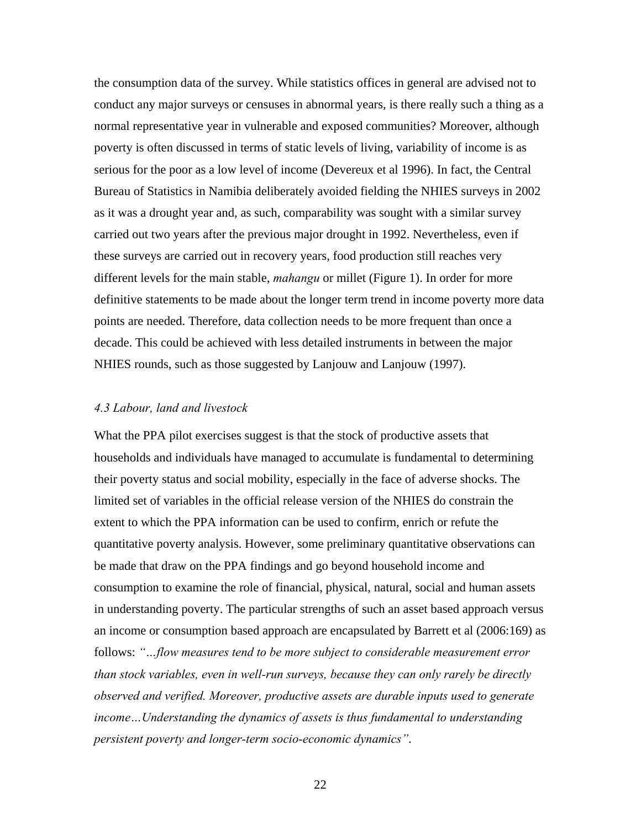the consumption data of the survey. While statistics offices in general are advised not to conduct any major surveys or censuses in abnormal years, is there really such a thing as a normal representative year in vulnerable and exposed communities? Moreover, although poverty is often discussed in terms of static levels of living, variability of income is as serious for the poor as a low level of income (Devereux et al 1996). In fact, the Central Bureau of Statistics in Namibia deliberately avoided fielding the NHIES surveys in 2002 as it was a drought year and, as such, comparability was sought with a similar survey carried out two years after the previous major drought in 1992. Nevertheless, even if these surveys are carried out in recovery years, food production still reaches very different levels for the main stable, *mahangu* or millet ([Figure 1\)](#page-45-0). In order for more definitive statements to be made about the longer term trend in income poverty more data points are needed. Therefore, data collection needs to be more frequent than once a decade. This could be achieved with less detailed instruments in between the major NHIES rounds, such as those suggested by Lanjouw and Lanjouw (1997).

### *4.3 Labour, land and livestock*

What the PPA pilot exercises suggest is that the stock of productive assets that households and individuals have managed to accumulate is fundamental to determining their poverty status and social mobility, especially in the face of adverse shocks. The limited set of variables in the official release version of the NHIES do constrain the extent to which the PPA information can be used to confirm, enrich or refute the quantitative poverty analysis. However, some preliminary quantitative observations can be made that draw on the PPA findings and go beyond household income and consumption to examine the role of financial, physical, natural, social and human assets in understanding poverty. The particular strengths of such an asset based approach versus an income or consumption based approach are encapsulated by Barrett et al (2006:169) as follows: *"…flow measures tend to be more subject to considerable measurement error than stock variables, even in well-run surveys, because they can only rarely be directly observed and verified. Moreover, productive assets are durable inputs used to generate income…Understanding the dynamics of assets is thus fundamental to understanding persistent poverty and longer-term socio-economic dynamics"*.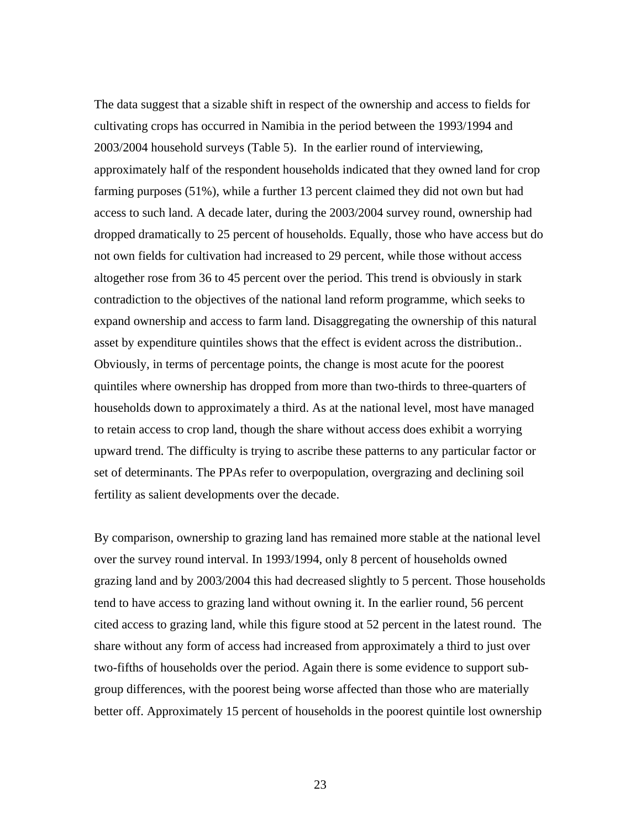The data suggest that a sizable shift in respect of the ownership and access to fields for cultivating crops has occurred in Namibia in the period between the 1993/1994 and 2003/2004 household surveys [\(Table 5\)](#page-46-0). In the earlier round of interviewing, approximately half of the respondent households indicated that they owned land for crop farming purposes (51%), while a further 13 percent claimed they did not own but had access to such land. A decade later, during the 2003/2004 survey round, ownership had dropped dramatically to 25 percent of households. Equally, those who have access but do not own fields for cultivation had increased to 29 percent, while those without access altogether rose from 36 to 45 percent over the period. This trend is obviously in stark contradiction to the objectives of the national land reform programme, which seeks to expand ownership and access to farm land. Disaggregating the ownership of this natural asset by expenditure quintiles shows that the effect is evident across the distribution.. Obviously, in terms of percentage points, the change is most acute for the poorest quintiles where ownership has dropped from more than two-thirds to three-quarters of households down to approximately a third. As at the national level, most have managed to retain access to crop land, though the share without access does exhibit a worrying upward trend. The difficulty is trying to ascribe these patterns to any particular factor or set of determinants. The PPAs refer to overpopulation, overgrazing and declining soil fertility as salient developments over the decade.

By comparison, ownership to grazing land has remained more stable at the national level over the survey round interval. In 1993/1994, only 8 percent of households owned grazing land and by 2003/2004 this had decreased slightly to 5 percent. Those households tend to have access to grazing land without owning it. In the earlier round, 56 percent cited access to grazing land, while this figure stood at 52 percent in the latest round. The share without any form of access had increased from approximately a third to just over two-fifths of households over the period. Again there is some evidence to support subgroup differences, with the poorest being worse affected than those who are materially better off. Approximately 15 percent of households in the poorest quintile lost ownership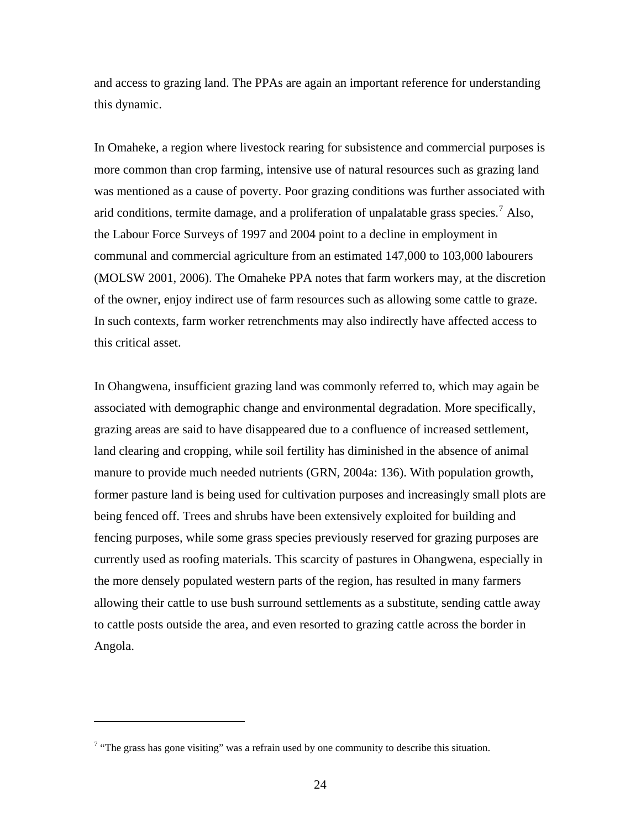and access to grazing land. The PPAs are again an important reference for understanding this dynamic.

In Omaheke, a region where livestock rearing for subsistence and commercial purposes is more common than crop farming, intensive use of natural resources such as grazing land was mentioned as a cause of poverty. Poor grazing conditions was further associated with arid conditions, termite damage, and a proliferation of unpalatable grass species.<sup>[7](#page-23-0)</sup> Also, the Labour Force Surveys of 1997 and 2004 point to a decline in employment in communal and commercial agriculture from an estimated 147,000 to 103,000 labourers (MOLSW 2001, 2006). The Omaheke PPA notes that farm workers may, at the discretion of the owner, enjoy indirect use of farm resources such as allowing some cattle to graze. In such contexts, farm worker retrenchments may also indirectly have affected access to this critical asset.

In Ohangwena, insufficient grazing land was commonly referred to, which may again be associated with demographic change and environmental degradation. More specifically, grazing areas are said to have disappeared due to a confluence of increased settlement, land clearing and cropping, while soil fertility has diminished in the absence of animal manure to provide much needed nutrients (GRN, 2004a: 136). With population growth, former pasture land is being used for cultivation purposes and increasingly small plots are being fenced off. Trees and shrubs have been extensively exploited for building and fencing purposes, while some grass species previously reserved for grazing purposes are currently used as roofing materials. This scarcity of pastures in Ohangwena, especially in the more densely populated western parts of the region, has resulted in many farmers allowing their cattle to use bush surround settlements as a substitute, sending cattle away to cattle posts outside the area, and even resorted to grazing cattle across the border in Angola.

 $\overline{a}$ 

<span id="page-23-0"></span><sup>&</sup>lt;sup>7</sup> "The grass has gone visiting" was a refrain used by one community to describe this situation.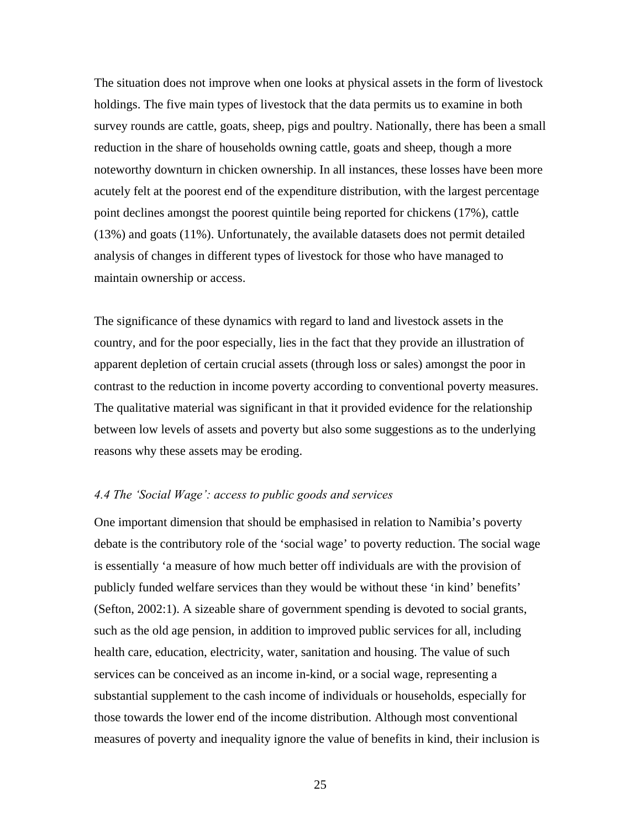The situation does not improve when one looks at physical assets in the form of livestock holdings. The five main types of livestock that the data permits us to examine in both survey rounds are cattle, goats, sheep, pigs and poultry. Nationally, there has been a small reduction in the share of households owning cattle, goats and sheep, though a more noteworthy downturn in chicken ownership. In all instances, these losses have been more acutely felt at the poorest end of the expenditure distribution, with the largest percentage point declines amongst the poorest quintile being reported for chickens (17%), cattle (13%) and goats (11%). Unfortunately, the available datasets does not permit detailed analysis of changes in different types of livestock for those who have managed to maintain ownership or access.

The significance of these dynamics with regard to land and livestock assets in the country, and for the poor especially, lies in the fact that they provide an illustration of apparent depletion of certain crucial assets (through loss or sales) amongst the poor in contrast to the reduction in income poverty according to conventional poverty measures. The qualitative material was significant in that it provided evidence for the relationship between low levels of assets and poverty but also some suggestions as to the underlying reasons why these assets may be eroding.

### *4.4 The 'Social Wage': access to public goods and services*

One important dimension that should be emphasised in relation to Namibia's poverty debate is the contributory role of the 'social wage' to poverty reduction. The social wage is essentially 'a measure of how much better off individuals are with the provision of publicly funded welfare services than they would be without these 'in kind' benefits' (Sefton, 2002:1). A sizeable share of government spending is devoted to social grants, such as the old age pension, in addition to improved public services for all, including health care, education, electricity, water, sanitation and housing. The value of such services can be conceived as an income in-kind, or a social wage, representing a substantial supplement to the cash income of individuals or households, especially for those towards the lower end of the income distribution. Although most conventional measures of poverty and inequality ignore the value of benefits in kind, their inclusion is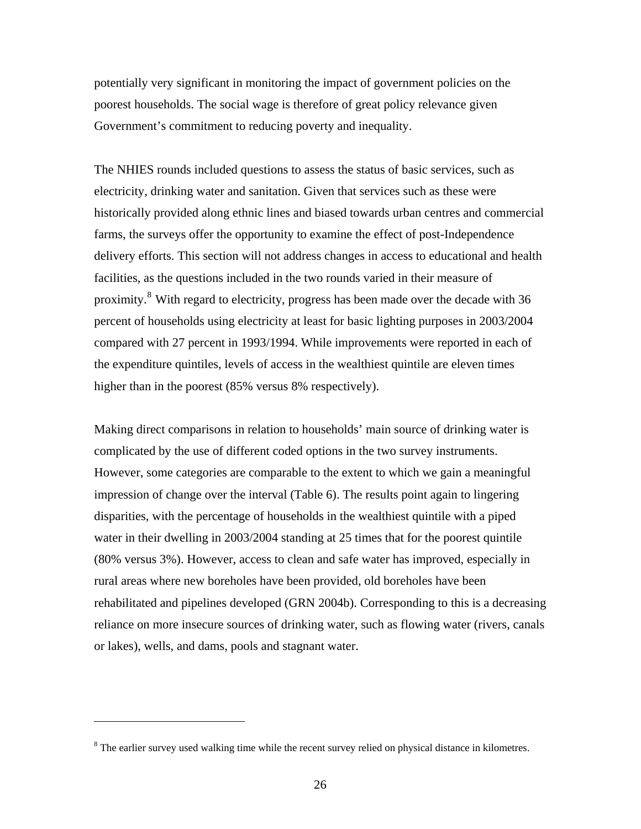potentially very significant in monitoring the impact of government policies on the poorest households. The social wage is therefore of great policy relevance given Government's commitment to reducing poverty and inequality.

The NHIES rounds included questions to assess the status of basic services, such as electricity, drinking water and sanitation. Given that services such as these were historically provided along ethnic lines and biased towards urban centres and commercial farms, the surveys offer the opportunity to examine the effect of post-Independence delivery efforts. This section will not address changes in access to educational and health facilities, as the questions included in the two rounds varied in their measure of proximity.<sup>[8](#page-25-0)</sup> With regard to electricity, progress has been made over the decade with 36 percent of households using electricity at least for basic lighting purposes in 2003/2004 compared with 27 percent in 1993/1994. While improvements were reported in each of the expenditure quintiles, levels of access in the wealthiest quintile are eleven times higher than in the poorest (85% versus 8% respectively).

Making direct comparisons in relation to households' main source of drinking water is complicated by the use of different coded options in the two survey instruments. However, some categories are comparable to the extent to which we gain a meaningful impression of change over the interval [\(Table 6\)](#page-47-0). The results point again to lingering disparities, with the percentage of households in the wealthiest quintile with a piped water in their dwelling in 2003/2004 standing at 25 times that for the poorest quintile (80% versus 3%). However, access to clean and safe water has improved, especially in rural areas where new boreholes have been provided, old boreholes have been rehabilitated and pipelines developed (GRN 2004b). Corresponding to this is a decreasing reliance on more insecure sources of drinking water, such as flowing water (rivers, canals or lakes), wells, and dams, pools and stagnant water.

 $\overline{a}$ 

<span id="page-25-0"></span> $8$  The earlier survey used walking time while the recent survey relied on physical distance in kilometres.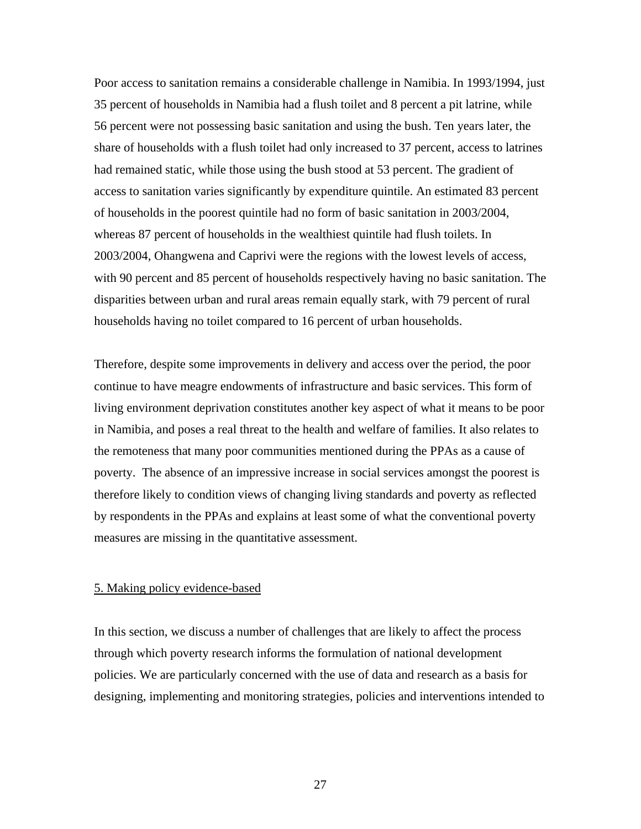Poor access to sanitation remains a considerable challenge in Namibia. In 1993/1994, just 35 percent of households in Namibia had a flush toilet and 8 percent a pit latrine, while 56 percent were not possessing basic sanitation and using the bush. Ten years later, the share of households with a flush toilet had only increased to 37 percent, access to latrines had remained static, while those using the bush stood at 53 percent. The gradient of access to sanitation varies significantly by expenditure quintile. An estimated 83 percent of households in the poorest quintile had no form of basic sanitation in 2003/2004, whereas 87 percent of households in the wealthiest quintile had flush toilets. In 2003/2004, Ohangwena and Caprivi were the regions with the lowest levels of access, with 90 percent and 85 percent of households respectively having no basic sanitation. The disparities between urban and rural areas remain equally stark, with 79 percent of rural households having no toilet compared to 16 percent of urban households.

Therefore, despite some improvements in delivery and access over the period, the poor continue to have meagre endowments of infrastructure and basic services. This form of living environment deprivation constitutes another key aspect of what it means to be poor in Namibia, and poses a real threat to the health and welfare of families. It also relates to the remoteness that many poor communities mentioned during the PPAs as a cause of poverty. The absence of an impressive increase in social services amongst the poorest is therefore likely to condition views of changing living standards and poverty as reflected by respondents in the PPAs and explains at least some of what the conventional poverty measures are missing in the quantitative assessment.

### 5. Making policy evidence-based

In this section, we discuss a number of challenges that are likely to affect the process through which poverty research informs the formulation of national development policies. We are particularly concerned with the use of data and research as a basis for designing, implementing and monitoring strategies, policies and interventions intended to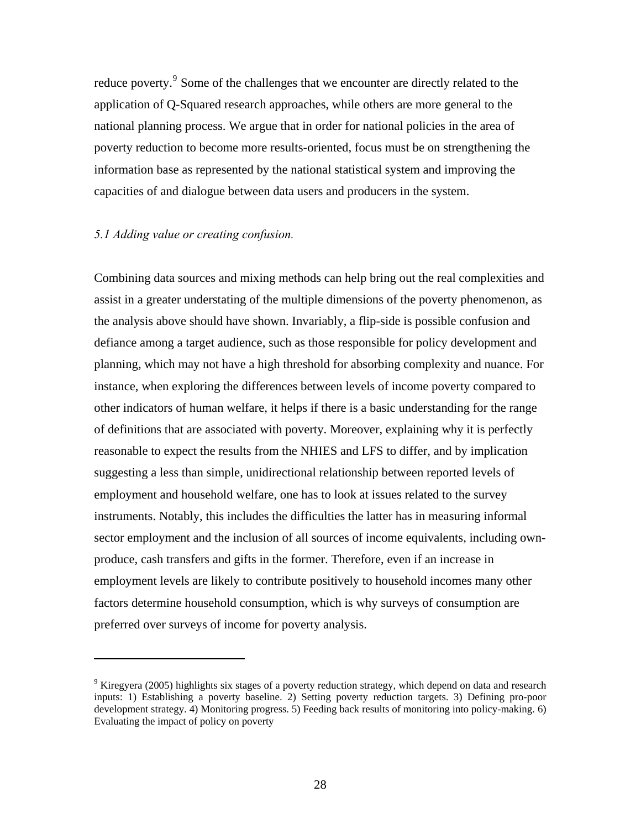reduce poverty.<sup>[9](#page-27-0)</sup> Some of the challenges that we encounter are directly related to the application of Q-Squared research approaches, while others are more general to the national planning process. We argue that in order for national policies in the area of poverty reduction to become more results-oriented, focus must be on strengthening the information base as represented by the national statistical system and improving the capacities of and dialogue between data users and producers in the system.

### *5.1 Adding value or creating confusion.*

 $\overline{a}$ 

Combining data sources and mixing methods can help bring out the real complexities and assist in a greater understating of the multiple dimensions of the poverty phenomenon, as the analysis above should have shown. Invariably, a flip-side is possible confusion and defiance among a target audience, such as those responsible for policy development and planning, which may not have a high threshold for absorbing complexity and nuance. For instance, when exploring the differences between levels of income poverty compared to other indicators of human welfare, it helps if there is a basic understanding for the range of definitions that are associated with poverty. Moreover, explaining why it is perfectly reasonable to expect the results from the NHIES and LFS to differ, and by implication suggesting a less than simple, unidirectional relationship between reported levels of employment and household welfare, one has to look at issues related to the survey instruments. Notably, this includes the difficulties the latter has in measuring informal sector employment and the inclusion of all sources of income equivalents, including ownproduce, cash transfers and gifts in the former. Therefore, even if an increase in employment levels are likely to contribute positively to household incomes many other factors determine household consumption, which is why surveys of consumption are preferred over surveys of income for poverty analysis.

<span id="page-27-0"></span> $9$  Kiregyera (2005) highlights six stages of a poverty reduction strategy, which depend on data and research inputs: 1) Establishing a poverty baseline. 2) Setting poverty reduction targets. 3) Defining pro-poor development strategy. 4) Monitoring progress. 5) Feeding back results of monitoring into policy-making. 6) Evaluating the impact of policy on poverty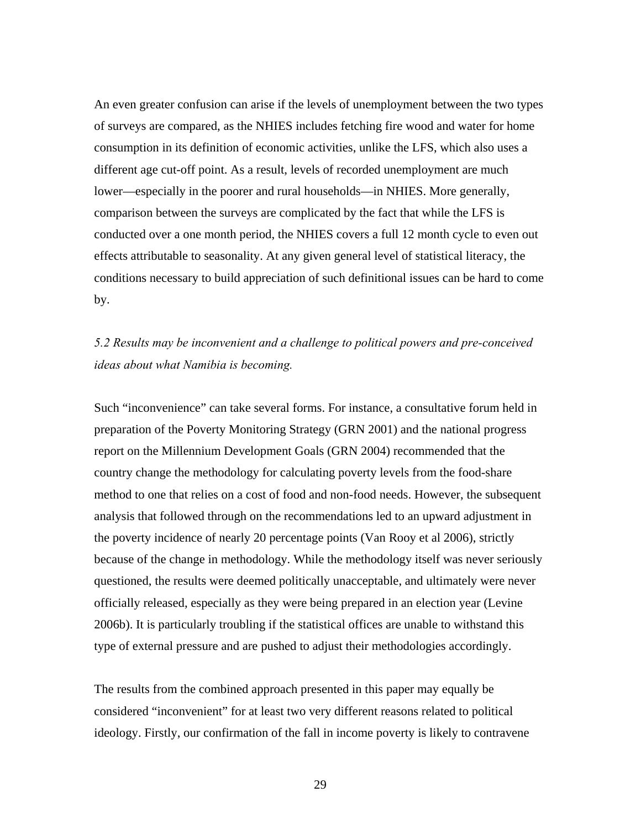An even greater confusion can arise if the levels of unemployment between the two types of surveys are compared, as the NHIES includes fetching fire wood and water for home consumption in its definition of economic activities, unlike the LFS, which also uses a different age cut-off point. As a result, levels of recorded unemployment are much lower—especially in the poorer and rural households—in NHIES. More generally, comparison between the surveys are complicated by the fact that while the LFS is conducted over a one month period, the NHIES covers a full 12 month cycle to even out effects attributable to seasonality. At any given general level of statistical literacy, the conditions necessary to build appreciation of such definitional issues can be hard to come by.

## *5.2 Results may be inconvenient and a challenge to political powers and pre-conceived ideas about what Namibia is becoming.*

Such "inconvenience" can take several forms. For instance, a consultative forum held in preparation of the Poverty Monitoring Strategy (GRN 2001) and the national progress report on the Millennium Development Goals (GRN 2004) recommended that the country change the methodology for calculating poverty levels from the food-share method to one that relies on a cost of food and non-food needs. However, the subsequent analysis that followed through on the recommendations led to an upward adjustment in the poverty incidence of nearly 20 percentage points (Van Rooy et al 2006), strictly because of the change in methodology. While the methodology itself was never seriously questioned, the results were deemed politically unacceptable, and ultimately were never officially released, especially as they were being prepared in an election year (Levine 2006b). It is particularly troubling if the statistical offices are unable to withstand this type of external pressure and are pushed to adjust their methodologies accordingly.

The results from the combined approach presented in this paper may equally be considered "inconvenient" for at least two very different reasons related to political ideology. Firstly, our confirmation of the fall in income poverty is likely to contravene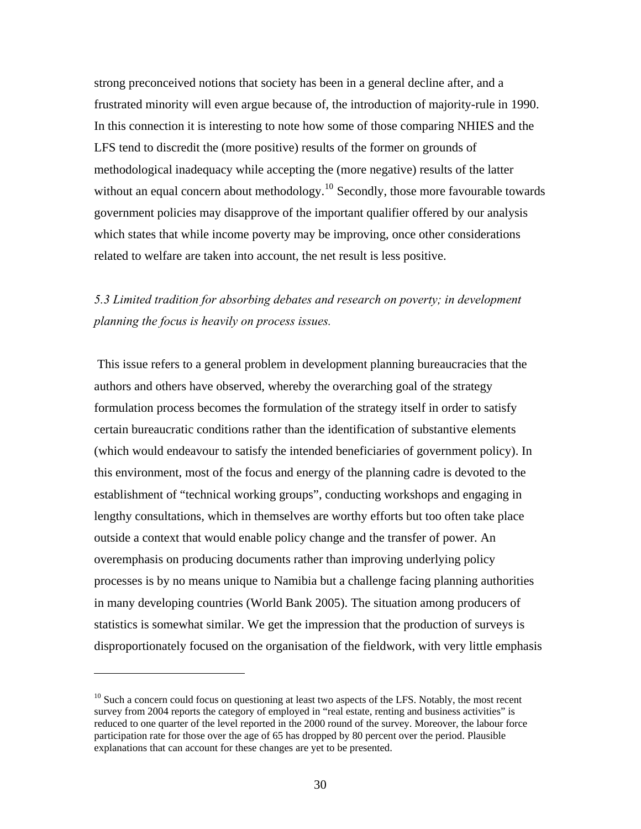strong preconceived notions that society has been in a general decline after, and a frustrated minority will even argue because of, the introduction of majority-rule in 1990. In this connection it is interesting to note how some of those comparing NHIES and the LFS tend to discredit the (more positive) results of the former on grounds of methodological inadequacy while accepting the (more negative) results of the latter without an equal concern about methodology.<sup>[10](#page-29-0)</sup> Secondly, those more favourable towards government policies may disapprove of the important qualifier offered by our analysis which states that while income poverty may be improving, once other considerations related to welfare are taken into account, the net result is less positive.

## *5.3 Limited tradition for absorbing debates and research on poverty; in development planning the focus is heavily on process issues.*

This issue refers to a general problem in development planning bureaucracies that the authors and others have observed, whereby the overarching goal of the strategy formulation process becomes the formulation of the strategy itself in order to satisfy certain bureaucratic conditions rather than the identification of substantive elements (which would endeavour to satisfy the intended beneficiaries of government policy). In this environment, most of the focus and energy of the planning cadre is devoted to the establishment of "technical working groups", conducting workshops and engaging in lengthy consultations, which in themselves are worthy efforts but too often take place outside a context that would enable policy change and the transfer of power. An overemphasis on producing documents rather than improving underlying policy processes is by no means unique to Namibia but a challenge facing planning authorities in many developing countries (World Bank 2005). The situation among producers of statistics is somewhat similar. We get the impression that the production of surveys is disproportionately focused on the organisation of the fieldwork, with very little emphasis

 $\overline{a}$ 

<span id="page-29-0"></span> $10$  Such a concern could focus on questioning at least two aspects of the LFS. Notably, the most recent survey from 2004 reports the category of employed in "real estate, renting and business activities" is reduced to one quarter of the level reported in the 2000 round of the survey. Moreover, the labour force participation rate for those over the age of 65 has dropped by 80 percent over the period. Plausible explanations that can account for these changes are yet to be presented.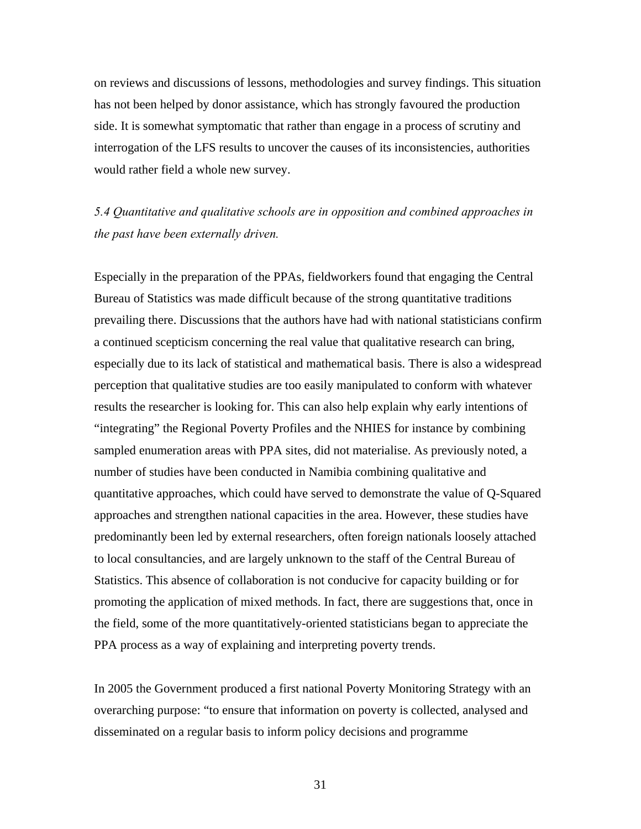on reviews and discussions of lessons, methodologies and survey findings. This situation has not been helped by donor assistance, which has strongly favoured the production side. It is somewhat symptomatic that rather than engage in a process of scrutiny and interrogation of the LFS results to uncover the causes of its inconsistencies, authorities would rather field a whole new survey.

## *5.4 Quantitative and qualitative schools are in opposition and combined approaches in the past have been externally driven.*

Especially in the preparation of the PPAs, fieldworkers found that engaging the Central Bureau of Statistics was made difficult because of the strong quantitative traditions prevailing there. Discussions that the authors have had with national statisticians confirm a continued scepticism concerning the real value that qualitative research can bring, especially due to its lack of statistical and mathematical basis. There is also a widespread perception that qualitative studies are too easily manipulated to conform with whatever results the researcher is looking for. This can also help explain why early intentions of "integrating" the Regional Poverty Profiles and the NHIES for instance by combining sampled enumeration areas with PPA sites, did not materialise. As previously noted, a number of studies have been conducted in Namibia combining qualitative and quantitative approaches, which could have served to demonstrate the value of Q-Squared approaches and strengthen national capacities in the area. However, these studies have predominantly been led by external researchers, often foreign nationals loosely attached to local consultancies, and are largely unknown to the staff of the Central Bureau of Statistics. This absence of collaboration is not conducive for capacity building or for promoting the application of mixed methods. In fact, there are suggestions that, once in the field, some of the more quantitatively-oriented statisticians began to appreciate the PPA process as a way of explaining and interpreting poverty trends.

In 2005 the Government produced a first national Poverty Monitoring Strategy with an overarching purpose: "to ensure that information on poverty is collected, analysed and disseminated on a regular basis to inform policy decisions and programme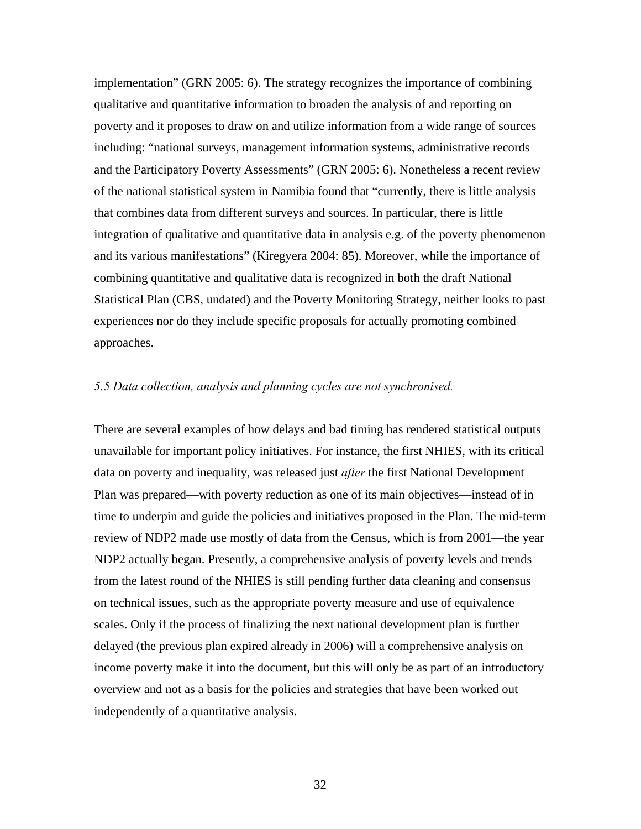implementation" (GRN 2005: 6). The strategy recognizes the importance of combining qualitative and quantitative information to broaden the analysis of and reporting on poverty and it proposes to draw on and utilize information from a wide range of sources including: "national surveys, management information systems, administrative records and the Participatory Poverty Assessments" (GRN 2005: 6). Nonetheless a recent review of the national statistical system in Namibia found that "currently, there is little analysis that combines data from different surveys and sources. In particular, there is little integration of qualitative and quantitative data in analysis e.g. of the poverty phenomenon and its various manifestations" (Kiregyera 2004: 85). Moreover, while the importance of combining quantitative and qualitative data is recognized in both the draft National Statistical Plan (CBS, undated) and the Poverty Monitoring Strategy, neither looks to past experiences nor do they include specific proposals for actually promoting combined approaches.

### *5.5 Data collection, analysis and planning cycles are not synchronised.*

There are several examples of how delays and bad timing has rendered statistical outputs unavailable for important policy initiatives. For instance, the first NHIES, with its critical data on poverty and inequality, was released just *after* the first National Development Plan was prepared—with poverty reduction as one of its main objectives—instead of in time to underpin and guide the policies and initiatives proposed in the Plan. The mid-term review of NDP2 made use mostly of data from the Census, which is from 2001—the year NDP2 actually began. Presently, a comprehensive analysis of poverty levels and trends from the latest round of the NHIES is still pending further data cleaning and consensus on technical issues, such as the appropriate poverty measure and use of equivalence scales. Only if the process of finalizing the next national development plan is further delayed (the previous plan expired already in 2006) will a comprehensive analysis on income poverty make it into the document, but this will only be as part of an introductory overview and not as a basis for the policies and strategies that have been worked out independently of a quantitative analysis.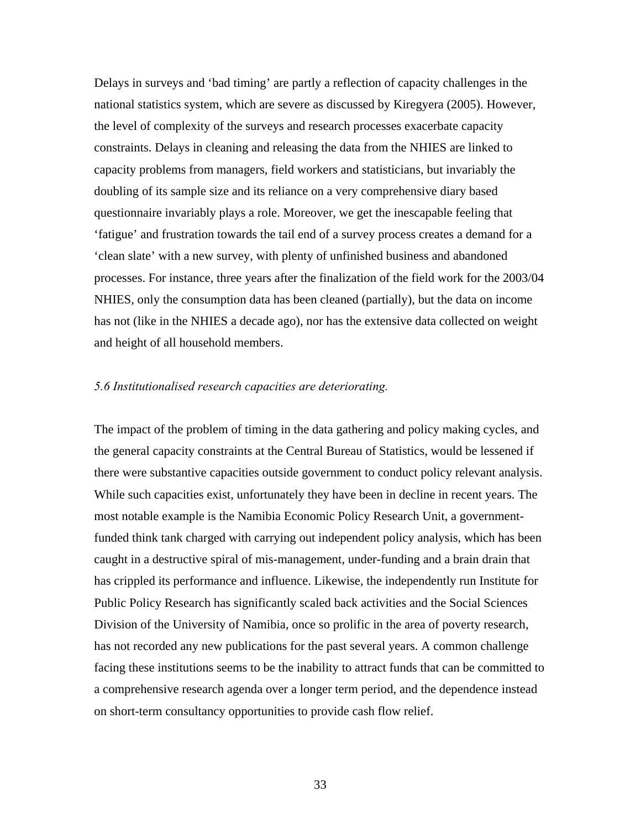Delays in surveys and 'bad timing' are partly a reflection of capacity challenges in the national statistics system, which are severe as discussed by Kiregyera (2005). However, the level of complexity of the surveys and research processes exacerbate capacity constraints. Delays in cleaning and releasing the data from the NHIES are linked to capacity problems from managers, field workers and statisticians, but invariably the doubling of its sample size and its reliance on a very comprehensive diary based questionnaire invariably plays a role. Moreover, we get the inescapable feeling that 'fatigue' and frustration towards the tail end of a survey process creates a demand for a 'clean slate' with a new survey, with plenty of unfinished business and abandoned processes. For instance, three years after the finalization of the field work for the 2003/04 NHIES, only the consumption data has been cleaned (partially), but the data on income has not (like in the NHIES a decade ago), nor has the extensive data collected on weight and height of all household members.

### *5.6 Institutionalised research capacities are deteriorating.*

The impact of the problem of timing in the data gathering and policy making cycles, and the general capacity constraints at the Central Bureau of Statistics, would be lessened if there were substantive capacities outside government to conduct policy relevant analysis. While such capacities exist, unfortunately they have been in decline in recent years. The most notable example is the Namibia Economic Policy Research Unit, a governmentfunded think tank charged with carrying out independent policy analysis, which has been caught in a destructive spiral of mis-management, under-funding and a brain drain that has crippled its performance and influence. Likewise, the independently run Institute for Public Policy Research has significantly scaled back activities and the Social Sciences Division of the University of Namibia, once so prolific in the area of poverty research, has not recorded any new publications for the past several years. A common challenge facing these institutions seems to be the inability to attract funds that can be committed to a comprehensive research agenda over a longer term period, and the dependence instead on short-term consultancy opportunities to provide cash flow relief.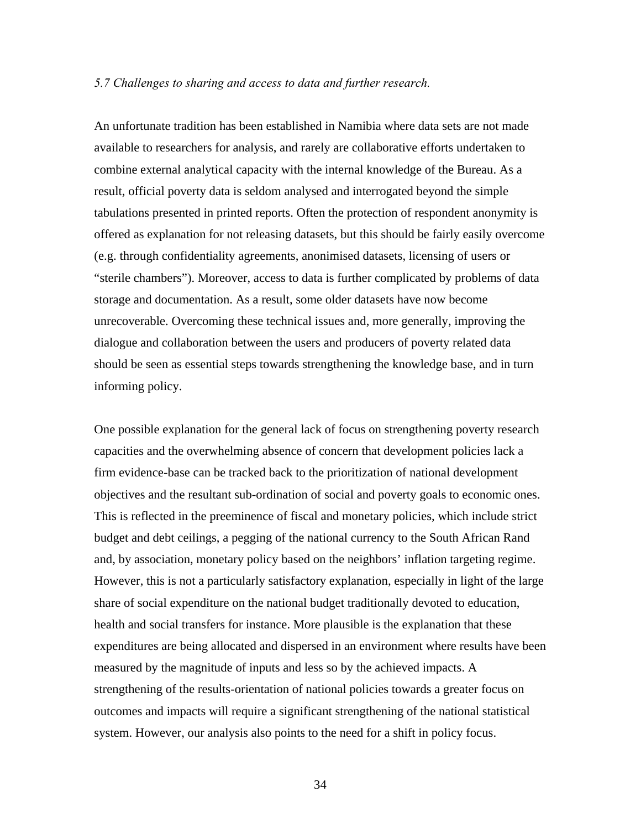### *5.7 Challenges to sharing and access to data and further research.*

An unfortunate tradition has been established in Namibia where data sets are not made available to researchers for analysis, and rarely are collaborative efforts undertaken to combine external analytical capacity with the internal knowledge of the Bureau. As a result, official poverty data is seldom analysed and interrogated beyond the simple tabulations presented in printed reports. Often the protection of respondent anonymity is offered as explanation for not releasing datasets, but this should be fairly easily overcome (e.g. through confidentiality agreements, anonimised datasets, licensing of users or "sterile chambers"). Moreover, access to data is further complicated by problems of data storage and documentation. As a result, some older datasets have now become unrecoverable. Overcoming these technical issues and, more generally, improving the dialogue and collaboration between the users and producers of poverty related data should be seen as essential steps towards strengthening the knowledge base, and in turn informing policy.

One possible explanation for the general lack of focus on strengthening poverty research capacities and the overwhelming absence of concern that development policies lack a firm evidence-base can be tracked back to the prioritization of national development objectives and the resultant sub-ordination of social and poverty goals to economic ones. This is reflected in the preeminence of fiscal and monetary policies, which include strict budget and debt ceilings, a pegging of the national currency to the South African Rand and, by association, monetary policy based on the neighbors' inflation targeting regime. However, this is not a particularly satisfactory explanation, especially in light of the large share of social expenditure on the national budget traditionally devoted to education, health and social transfers for instance. More plausible is the explanation that these expenditures are being allocated and dispersed in an environment where results have been measured by the magnitude of inputs and less so by the achieved impacts. A strengthening of the results-orientation of national policies towards a greater focus on outcomes and impacts will require a significant strengthening of the national statistical system. However, our analysis also points to the need for a shift in policy focus.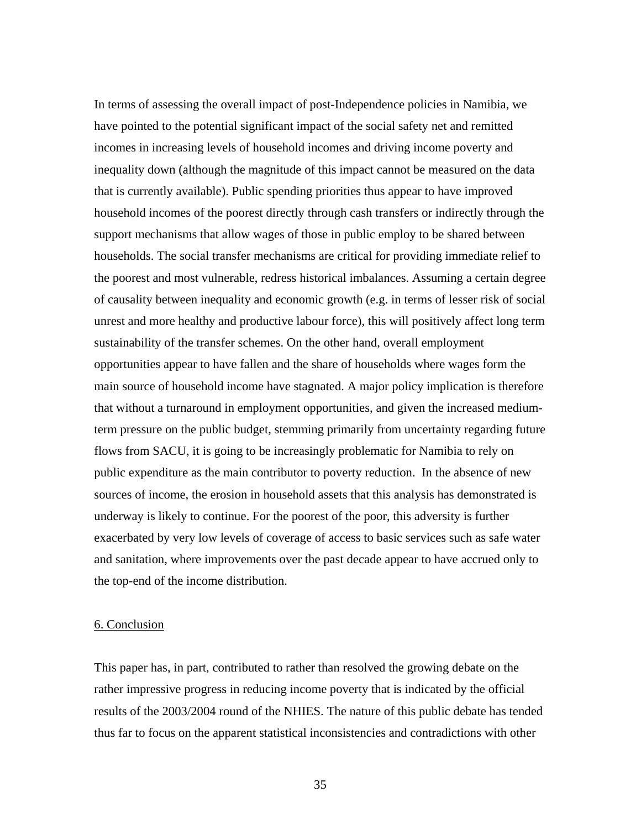In terms of assessing the overall impact of post-Independence policies in Namibia, we have pointed to the potential significant impact of the social safety net and remitted incomes in increasing levels of household incomes and driving income poverty and inequality down (although the magnitude of this impact cannot be measured on the data that is currently available). Public spending priorities thus appear to have improved household incomes of the poorest directly through cash transfers or indirectly through the support mechanisms that allow wages of those in public employ to be shared between households. The social transfer mechanisms are critical for providing immediate relief to the poorest and most vulnerable, redress historical imbalances. Assuming a certain degree of causality between inequality and economic growth (e.g. in terms of lesser risk of social unrest and more healthy and productive labour force), this will positively affect long term sustainability of the transfer schemes. On the other hand, overall employment opportunities appear to have fallen and the share of households where wages form the main source of household income have stagnated. A major policy implication is therefore that without a turnaround in employment opportunities, and given the increased mediumterm pressure on the public budget, stemming primarily from uncertainty regarding future flows from SACU, it is going to be increasingly problematic for Namibia to rely on public expenditure as the main contributor to poverty reduction. In the absence of new sources of income, the erosion in household assets that this analysis has demonstrated is underway is likely to continue. For the poorest of the poor, this adversity is further exacerbated by very low levels of coverage of access to basic services such as safe water and sanitation, where improvements over the past decade appear to have accrued only to the top-end of the income distribution.

### 6. Conclusion

This paper has, in part, contributed to rather than resolved the growing debate on the rather impressive progress in reducing income poverty that is indicated by the official results of the 2003/2004 round of the NHIES. The nature of this public debate has tended thus far to focus on the apparent statistical inconsistencies and contradictions with other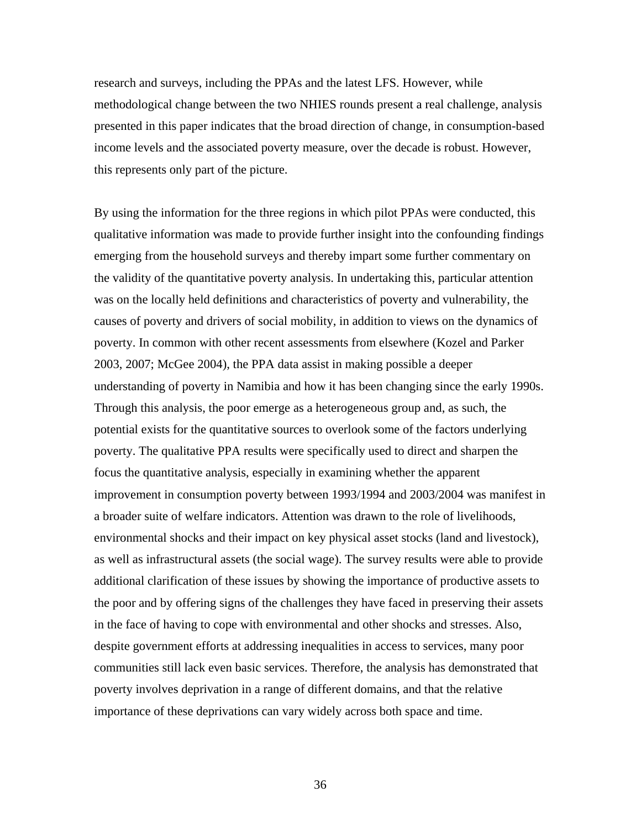research and surveys, including the PPAs and the latest LFS. However, while methodological change between the two NHIES rounds present a real challenge, analysis presented in this paper indicates that the broad direction of change, in consumption-based income levels and the associated poverty measure, over the decade is robust. However, this represents only part of the picture.

By using the information for the three regions in which pilot PPAs were conducted, this qualitative information was made to provide further insight into the confounding findings emerging from the household surveys and thereby impart some further commentary on the validity of the quantitative poverty analysis. In undertaking this, particular attention was on the locally held definitions and characteristics of poverty and vulnerability, the causes of poverty and drivers of social mobility, in addition to views on the dynamics of poverty. In common with other recent assessments from elsewhere (Kozel and Parker 2003, 2007; McGee 2004), the PPA data assist in making possible a deeper understanding of poverty in Namibia and how it has been changing since the early 1990s. Through this analysis, the poor emerge as a heterogeneous group and, as such, the potential exists for the quantitative sources to overlook some of the factors underlying poverty. The qualitative PPA results were specifically used to direct and sharpen the focus the quantitative analysis, especially in examining whether the apparent improvement in consumption poverty between 1993/1994 and 2003/2004 was manifest in a broader suite of welfare indicators. Attention was drawn to the role of livelihoods, environmental shocks and their impact on key physical asset stocks (land and livestock), as well as infrastructural assets (the social wage). The survey results were able to provide additional clarification of these issues by showing the importance of productive assets to the poor and by offering signs of the challenges they have faced in preserving their assets in the face of having to cope with environmental and other shocks and stresses. Also, despite government efforts at addressing inequalities in access to services, many poor communities still lack even basic services. Therefore, the analysis has demonstrated that poverty involves deprivation in a range of different domains, and that the relative importance of these deprivations can vary widely across both space and time.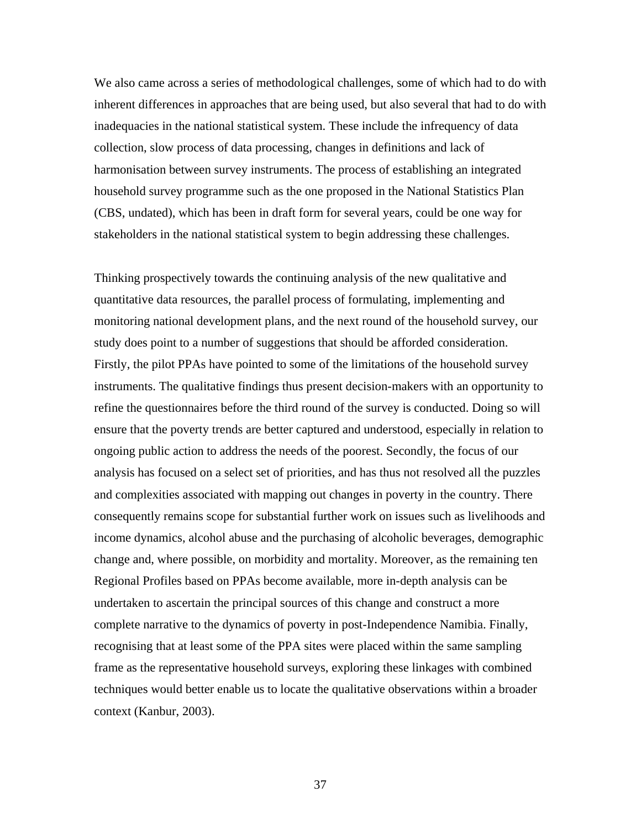We also came across a series of methodological challenges, some of which had to do with inherent differences in approaches that are being used, but also several that had to do with inadequacies in the national statistical system. These include the infrequency of data collection, slow process of data processing, changes in definitions and lack of harmonisation between survey instruments. The process of establishing an integrated household survey programme such as the one proposed in the National Statistics Plan (CBS, undated), which has been in draft form for several years, could be one way for stakeholders in the national statistical system to begin addressing these challenges.

Thinking prospectively towards the continuing analysis of the new qualitative and quantitative data resources, the parallel process of formulating, implementing and monitoring national development plans, and the next round of the household survey, our study does point to a number of suggestions that should be afforded consideration. Firstly, the pilot PPAs have pointed to some of the limitations of the household survey instruments. The qualitative findings thus present decision-makers with an opportunity to refine the questionnaires before the third round of the survey is conducted. Doing so will ensure that the poverty trends are better captured and understood, especially in relation to ongoing public action to address the needs of the poorest. Secondly, the focus of our analysis has focused on a select set of priorities, and has thus not resolved all the puzzles and complexities associated with mapping out changes in poverty in the country. There consequently remains scope for substantial further work on issues such as livelihoods and income dynamics, alcohol abuse and the purchasing of alcoholic beverages, demographic change and, where possible, on morbidity and mortality. Moreover, as the remaining ten Regional Profiles based on PPAs become available, more in-depth analysis can be undertaken to ascertain the principal sources of this change and construct a more complete narrative to the dynamics of poverty in post-Independence Namibia. Finally, recognising that at least some of the PPA sites were placed within the same sampling frame as the representative household surveys, exploring these linkages with combined techniques would better enable us to locate the qualitative observations within a broader context (Kanbur, 2003).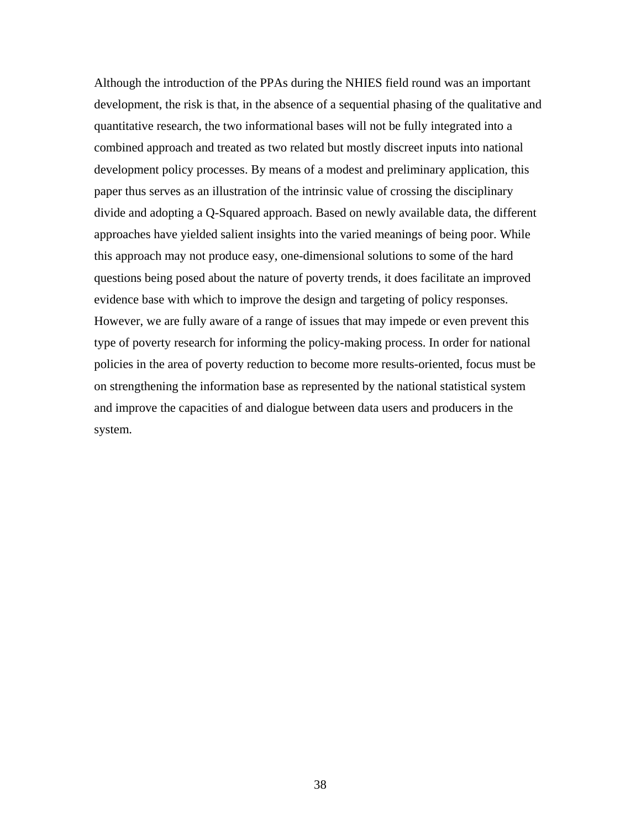Although the introduction of the PPAs during the NHIES field round was an important development, the risk is that, in the absence of a sequential phasing of the qualitative and quantitative research, the two informational bases will not be fully integrated into a combined approach and treated as two related but mostly discreet inputs into national development policy processes. By means of a modest and preliminary application, this paper thus serves as an illustration of the intrinsic value of crossing the disciplinary divide and adopting a Q-Squared approach. Based on newly available data, the different approaches have yielded salient insights into the varied meanings of being poor. While this approach may not produce easy, one-dimensional solutions to some of the hard questions being posed about the nature of poverty trends, it does facilitate an improved evidence base with which to improve the design and targeting of policy responses. However, we are fully aware of a range of issues that may impede or even prevent this type of poverty research for informing the policy-making process. In order for national policies in the area of poverty reduction to become more results-oriented, focus must be on strengthening the information base as represented by the national statistical system and improve the capacities of and dialogue between data users and producers in the system.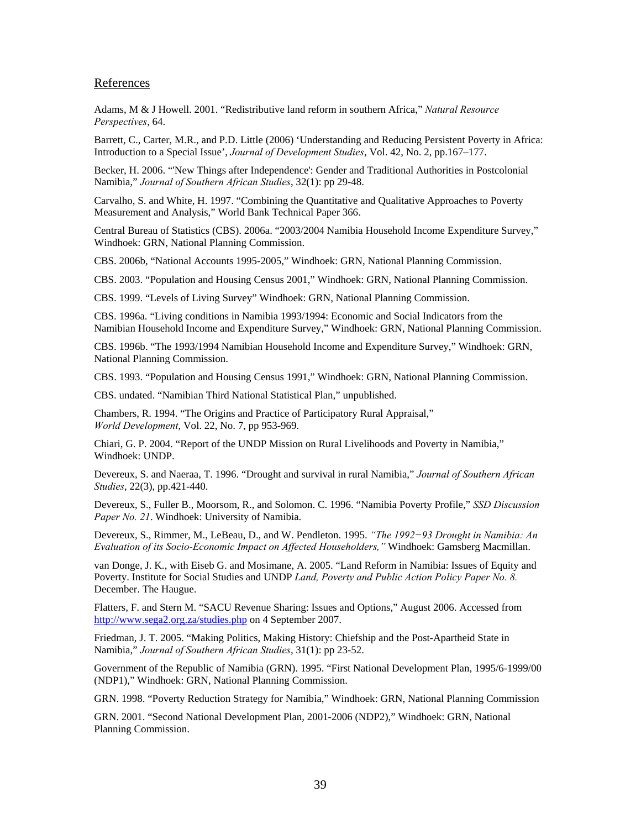#### References

Adams, M & J Howell. 2001. "Redistributive land reform in southern Africa," *Natural Resource Perspectives*, 64.

Barrett, C., Carter, M.R., and P.D. Little (2006) 'Understanding and Reducing Persistent Poverty in Africa: Introduction to a Special Issue', *Journal of Development Studies*, Vol. 42, No. 2, pp.167–177.

Becker, H. 2006. "'New Things after Independence': Gender and Traditional Authorities in Postcolonial Namibia," *[Journal of Southern African Studies](http://www.informaworld.com/smpp/title%7Econtent=t713436095%7Edb=all)*, [32\(](http://www.informaworld.com/smpp/title~content=t713436095~db=all~tab=issueslist~branches=32#v32)[1\):](http://www.informaworld.com/smpp/title~content=g743779040~db=all) pp 29-48.

Carvalho, S. and White, H. 1997. "Combining the Quantitative and Qualitative Approaches to Poverty Measurement and Analysis," World Bank Technical Paper 366.

Central Bureau of Statistics (CBS). 2006a. "2003/2004 Namibia Household Income Expenditure Survey," Windhoek: GRN, National Planning Commission.

CBS. 2006b, "National Accounts 1995-2005," Windhoek: GRN, National Planning Commission.

CBS. 2003. "Population and Housing Census 2001," Windhoek: GRN, National Planning Commission.

CBS. 1999. "Levels of Living Survey" Windhoek: GRN, National Planning Commission.

CBS. 1996a. "Living conditions in Namibia 1993/1994: Economic and Social Indicators from the Namibian Household Income and Expenditure Survey," Windhoek: GRN, National Planning Commission.

CBS. 1996b. "The 1993/1994 Namibian Household Income and Expenditure Survey," Windhoek: GRN, National Planning Commission.

CBS. 1993. "Population and Housing Census 1991," Windhoek: GRN, National Planning Commission.

CBS. undated. "Namibian Third National Statistical Plan," unpublished.

Chambers, R. 1994. "The Origins and Practice of Participatory Rural Appraisal," *World Development*, Vol. 22, No. 7, pp 953-969.

Chiari, G. P. 2004. "Report of the UNDP Mission on Rural Livelihoods and Poverty in Namibia," Windhoek: UNDP.

Devereux, S. and Naeraa, T. 1996. "Drought and survival in rural Namibia," *Journal of Southern African Studies*, 22(3), pp.421-440.

Devereux, S., Fuller B., Moorsom, R., and Solomon. C. 1996. "Namibia Poverty Profile," *SSD Discussion Paper No. 21*. Windhoek: University of Namibia.

Devereux, S., Rimmer, M., LeBeau, D., and W. Pendleton. 1995. *"The 1992−93 Drought in Namibia: An Evaluation of its Socio-Economic Impact on Affected Householders,"* Windhoek: Gamsberg Macmillan.

van Donge, J. K., with Eiseb G. and Mosimane, A. 2005. "Land Reform in Namibia: Issues of Equity and Poverty. Institute for Social Studies and UNDP *Land, Poverty and Public Action Policy Paper No. 8.*  December. The Haugue.

Flatters, F. and Stern M. "SACU Revenue Sharing: Issues and Options," August 2006. Accessed from <http://www.sega2.org.za/studies.php> on 4 September 2007.

Friedman, J. T. 2005. "Making Politics, Making History: Chiefship and the Post-Apartheid State in Namibia," *[Journal of Southern African Studies](http://www.informaworld.com/smpp/title%7Econtent=t713436095%7Edb=all)*, [31\(](http://www.informaworld.com/smpp/title~content=t713436095~db=all~tab=issueslist~branches=31#v31)[1\): p](http://www.informaworld.com/smpp/title~content=g713726583~db=all)p 23-52.

Government of the Republic of Namibia (GRN). 1995. "First National Development Plan, 1995/6-1999/00 (NDP1)," Windhoek: GRN, National Planning Commission.

GRN. 1998. "Poverty Reduction Strategy for Namibia," Windhoek: GRN, National Planning Commission

GRN. 2001. "Second National Development Plan, 2001-2006 (NDP2)," Windhoek: GRN, National Planning Commission.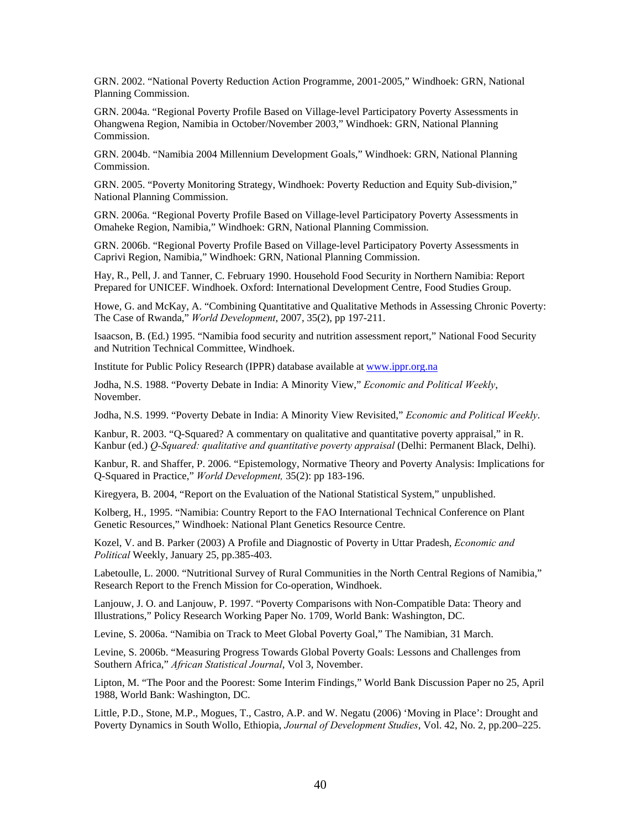GRN. 2002. "National Poverty Reduction Action Programme, 2001-2005," Windhoek: GRN, National Planning Commission.

GRN. 2004a. "Regional Poverty Profile Based on Village-level Participatory Poverty Assessments in Ohangwena Region, Namibia in October/November 2003," Windhoek: GRN, National Planning Commission.

GRN. 2004b. "Namibia 2004 Millennium Development Goals," Windhoek: GRN, National Planning Commission.

GRN. 2005. "Poverty Monitoring Strategy, Windhoek: Poverty Reduction and Equity Sub-division," National Planning Commission.

GRN. 2006a. "Regional Poverty Profile Based on Village-level Participatory Poverty Assessments in Omaheke Region, Namibia," Windhoek: GRN, National Planning Commission.

GRN. 2006b. "Regional Poverty Profile Based on Village-level Participatory Poverty Assessments in Caprivi Region, Namibia," Windhoek: GRN, National Planning Commission.

Hay, R., Pell, J. and Tanner, C. February 1990. Household Food Security in Northern Namibia: Report Prepared for UNICEF. Windhoek. Oxford: International Development Centre, Food Studies Group.

Howe, G. and McKay, A. "Combining Quantitative and Qualitative Methods in Assessing Chronic Poverty: The Case of Rwanda," *[World Development](http://econpapers.repec.org/article/eeewdevel/)*, 2007, 35(2), pp 197-211.

Isaacson, B. (Ed.) 1995. "Namibia food security and nutrition assessment report," National Food Security and Nutrition Technical Committee, Windhoek.

Institute for Public Policy Research (IPPR) database available at [www.ippr.org.na](http://www.ippr.org.na/)

Jodha, N.S. 1988. "Poverty Debate in India: A Minority View," *Economic and Political Weekly*, November.

Jodha, N.S. 1999. "Poverty Debate in India: A Minority View Revisited," *Economic and Political Weekly*.

Kanbur, R. 2003. "Q-Squared? A commentary on qualitative and quantitative poverty appraisal," in R. Kanbur (ed.) *Q-Squared: qualitative and quantitative poverty appraisal* (Delhi: Permanent Black, Delhi).

Kanbur, R. and Shaffer, P. 2006. "Epistemology, Normative Theory and Poverty Analysis: Implications for Q-Squared in Practice," *World Development,* 35(2): pp 183-196.

Kiregyera, B. 2004, "Report on the Evaluation of the National Statistical System," unpublished.

Kolberg, H., 1995. "Namibia: Country Report to the FAO International Technical Conference on Plant Genetic Resources," Windhoek: National Plant Genetics Resource Centre.

Kozel, V. and B. Parker (2003) A Profile and Diagnostic of Poverty in Uttar Pradesh, *Economic and Political* Weekly, January 25, pp.385-403.

Labetoulle, L. 2000. "Nutritional Survey of Rural Communities in the North Central Regions of Namibia," Research Report to the French Mission for Co-operation, Windhoek.

Lanjouw, J. O. and Lanjouw, P. 1997. "Poverty Comparisons with Non-Compatible Data: Theory and Illustrations," Policy Research Working Paper No. 1709, World Bank: Washington, DC.

Levine, S. 2006a. "Namibia on Track to Meet Global Poverty Goal," The Namibian, 31 March.

Levine, S. 2006b. "Measuring Progress Towards Global Poverty Goals: Lessons and Challenges from Southern Africa," *African Statistical Journal*, Vol 3, November.

Lipton, M. "The Poor and the Poorest: Some Interim Findings," World Bank Discussion Paper no 25, April 1988, World Bank: Washington, DC.

Little, P.D., Stone, M.P., Mogues, T., Castro, A.P. and W. Negatu (2006) 'Moving in Place': Drought and Poverty Dynamics in South Wollo, Ethiopia, *Journal of Development Studies*, Vol. 42, No. 2, pp.200–225.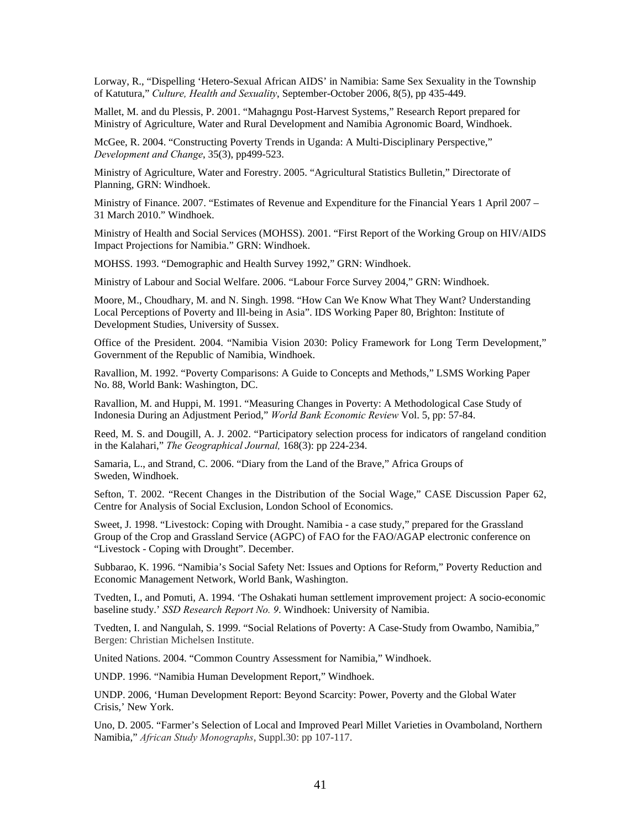Lorway, R., "Dispelling 'Hetero-Sexual African AIDS' in Namibia: Same Sex Sexuality in the Township of Katutura," *Culture, Health and Sexuality*, September-October 2006, 8(5), pp 435-449.

Mallet, M. and du Plessis, P. 2001. "Mahagngu Post-Harvest Systems," Research Report prepared for Ministry of Agriculture, Water and Rural Development and Namibia Agronomic Board, Windhoek.

McGee, R. 2004. "Constructing Poverty Trends in Uganda: A Multi-Disciplinary Perspective," *Development and Change*, 35(3), pp499-523.

Ministry of Agriculture, Water and Forestry. 2005. "Agricultural Statistics Bulletin," Directorate of Planning, GRN: Windhoek.

Ministry of Finance. 2007. "Estimates of Revenue and Expenditure for the Financial Years 1 April 2007 – 31 March 2010." Windhoek.

Ministry of Health and Social Services (MOHSS). 2001. "First Report of the Working Group on HIV/AIDS Impact Projections for Namibia." GRN: Windhoek.

MOHSS. 1993. "Demographic and Health Survey 1992," GRN: Windhoek.

Ministry of Labour and Social Welfare. 2006. "Labour Force Survey 2004," GRN: Windhoek.

Moore, M., Choudhary, M. and N. Singh. 1998. "How Can We Know What They Want? Understanding Local Perceptions of Poverty and Ill-being in Asia". IDS Working Paper 80, Brighton: Institute of Development Studies, University of Sussex.

Office of the President. 2004. "Namibia Vision 2030: Policy Framework for Long Term Development," Government of the Republic of Namibia, Windhoek.

Ravallion, M. 1992. "Poverty Comparisons: A Guide to Concepts and Methods," LSMS Working Paper No. 88, World Bank: Washington, DC.

Ravallion, M. and Huppi, M. 1991. "Measuring Changes in Poverty: A Methodological Case Study of Indonesia During an Adjustment Period," *World Bank Economic Review* Vol. 5, pp: 57-84.

Reed, M. S. and Dougill, A. J. 2002. "Participatory selection process for indicators of rangeland condition in the Kalahari," *The Geographical Journal,* 168(3): pp 224-234.

Samaria, L., and Strand, C. 2006. "Diary from the Land of the Brave," Africa Groups of Sweden, Windhoek.

Sefton, T. 2002. "Recent Changes in the Distribution of the Social Wage," CASE Discussion Paper 62, Centre for Analysis of Social Exclusion, London School of Economics.

Sweet, J. 1998. "Livestock: Coping with Drought. Namibia - a case study," prepared for the Grassland Group of the Crop and Grassland Service (AGPC) of FAO for the FAO/AGAP electronic conference on "Livestock - Coping with Drought". December.

Subbarao, K. 1996. "Namibia's Social Safety Net: Issues and Options for Reform," Poverty Reduction and Economic Management Network, World Bank, Washington.

Tvedten, I., and Pomuti, A. 1994. 'The Oshakati human settlement improvement project: A socio-economic baseline study.' *SSD Research Report No. 9*. Windhoek: University of Namibia.

Tvedten, I. and Nangulah, S. 1999. "Social Relations of Poverty: A Case-Study from Owambo, Namibia," Bergen: Christian Michelsen Institute.

United Nations. 2004. "Common Country Assessment for Namibia," Windhoek.

UNDP. 1996. "Namibia Human Development Report," Windhoek.

UNDP. 2006, 'Human Development Report: Beyond Scarcity: Power, Poverty and the Global Water Crisis,' New York.

Uno, D. 2005. "Farmer's Selection of Local and Improved Pearl Millet Varieties in Ovamboland, Northern Namibia," *African Study Monographs*, Suppl.30: pp 107-117.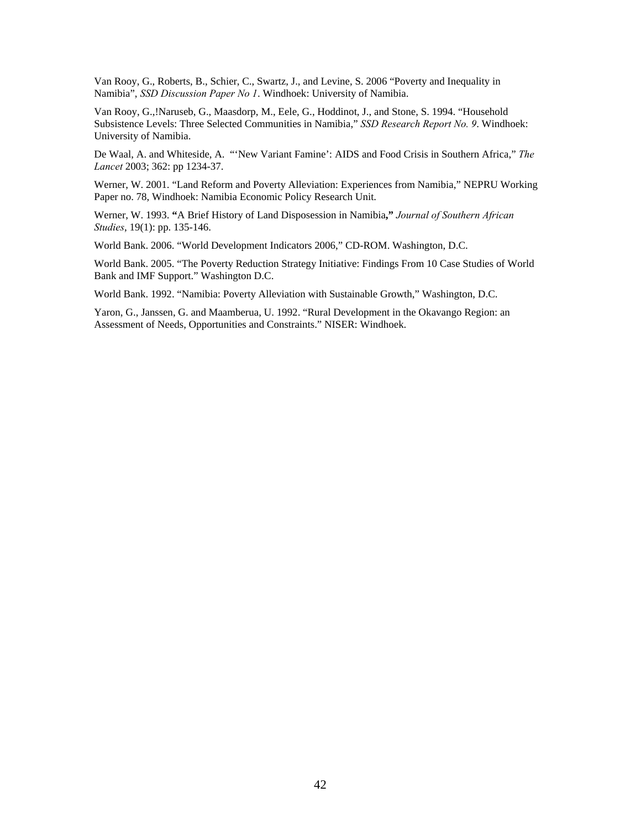Van Rooy, G., Roberts, B., Schier, C., Swartz, J., and Levine, S. 2006 "Poverty and Inequality in Namibia", *SSD Discussion Paper No 1*. Windhoek: University of Namibia.

Van Rooy, G.,!Naruseb, G., Maasdorp, M., Eele, G., Hoddinot, J., and Stone, S. 1994. "Household Subsistence Levels: Three Selected Communities in Namibia," *SSD Research Report No. 9*. Windhoek: University of Namibia.

De Waal, A. and Whiteside, A. "'New Variant Famine': AIDS and Food Crisis in Southern Africa," *The Lancet* 2003; 362: pp 1234-37.

Werner, W. 2001. "Land Reform and Poverty Alleviation: Experiences from Namibia," NEPRU Working Paper no. 78, Windhoek: Namibia Economic Policy Research Unit.

Werner, W. 1993. **"**A Brief History of Land Disposession in Namibia**,"** *Journal of Southern African Studies*, 19(1): pp. 135-146.

World Bank. 2006. "World Development Indicators 2006," CD-ROM. Washington, D.C.

World Bank. 2005. "The Poverty Reduction Strategy Initiative: Findings From 10 Case Studies of World Bank and IMF Support." Washington D.C.

World Bank. 1992. "Namibia: Poverty Alleviation with Sustainable Growth," Washington, D.C.

Yaron, G., Janssen, G. and Maamberua, U. 1992. "Rural Development in the Okavango Region: an Assessment of Needs, Opportunities and Constraints." NISER: Windhoek.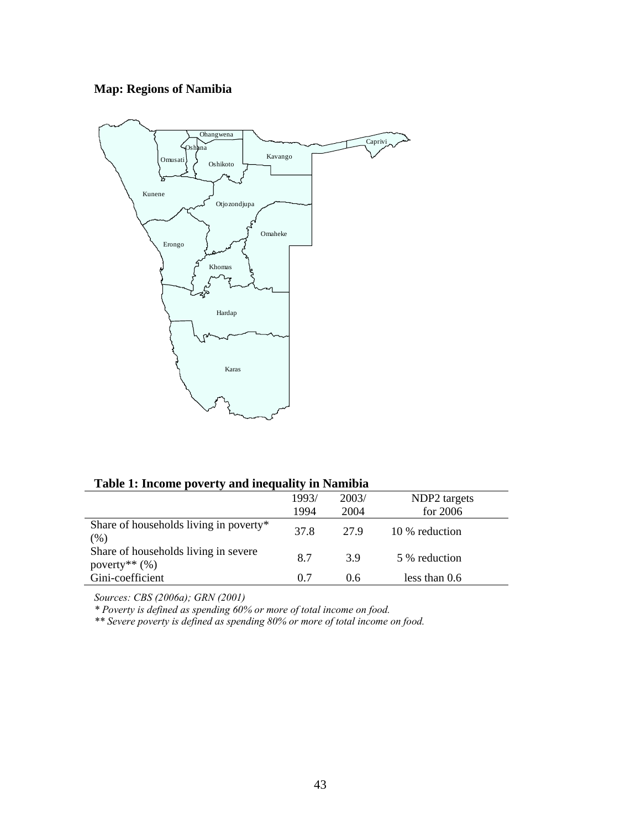### **Map: Regions of Namibia**



### **Table 1: Income poverty and inequality in Namibia**

<span id="page-42-0"></span>

|                                                          | 1993/ | 2003/ | NDP2 targets    |
|----------------------------------------------------------|-------|-------|-----------------|
|                                                          | 1994  | 2004  | for 2006        |
| Share of households living in poverty*<br>$(\%)$         | 37.8  | 27.9  | 10 % reduction  |
| Share of households living in severe<br>poverty** $(\%)$ | 8.7   | 3.9   | 5 % reduction   |
| Gini-coefficient                                         | 0.7   | 0.6   | less than $0.6$ |

*Sources: CBS (2006a); GRN (2001)* 

*\* Poverty is defined as spending 60% or more of total income on food.* 

*\*\* Severe poverty is defined as spending 80% or more of total income on food.*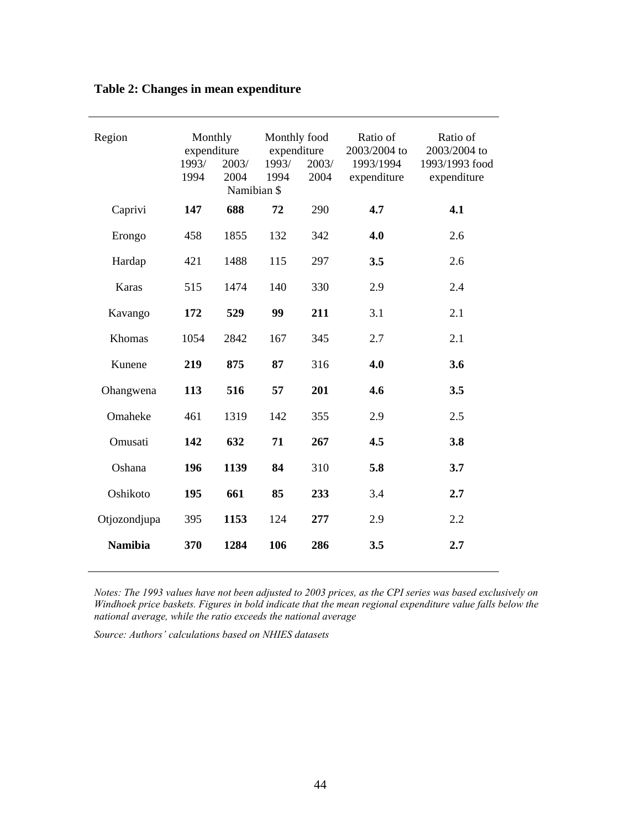| Region         | Monthly<br>expenditure<br>1993/<br>1994 | 2003/<br>2004 | Monthly food<br>expenditure<br>1993/<br>2003/<br>1994<br>2004<br>Namibian \$ |     | Ratio of<br>2003/2004 to<br>1993/1994<br>expenditure | Ratio of<br>2003/2004 to<br>1993/1993 food<br>expenditure |
|----------------|-----------------------------------------|---------------|------------------------------------------------------------------------------|-----|------------------------------------------------------|-----------------------------------------------------------|
| Caprivi        | 147                                     | 688           | 72                                                                           | 290 | 4.7                                                  | 4.1                                                       |
| Erongo         | 458                                     | 1855          | 132                                                                          | 342 | 4.0                                                  | 2.6                                                       |
| Hardap         | 421                                     | 1488          | 115                                                                          | 297 | 3.5                                                  | 2.6                                                       |
| Karas          | 515                                     | 1474          | 140                                                                          | 330 | 2.9                                                  | 2.4                                                       |
| Kavango        | 172                                     | 529           | 99                                                                           | 211 | 3.1                                                  | 2.1                                                       |
| Khomas         | 1054                                    | 2842          | 167                                                                          | 345 | 2.7                                                  | 2.1                                                       |
| Kunene         | 219                                     | 875           | 87                                                                           | 316 | 4.0                                                  | 3.6                                                       |
| Ohangwena      | 113                                     | 516           | 57                                                                           | 201 | 4.6                                                  | 3.5                                                       |
| Omaheke        | 461                                     | 1319          | 142                                                                          | 355 | 2.9                                                  | 2.5                                                       |
| Omusati        | 142                                     | 632           | 71                                                                           | 267 | 4.5                                                  | 3.8                                                       |
| Oshana         | 196                                     | 1139          | 84                                                                           | 310 | 5.8                                                  | 3.7                                                       |
| Oshikoto       | 195                                     | 661           | 85                                                                           | 233 | 3.4                                                  | 2.7                                                       |
| Otjozondjupa   | 395                                     | 1153          | 124                                                                          | 277 | 2.9                                                  | 2.2                                                       |
| <b>Namibia</b> | 370                                     | 1284          | 106                                                                          | 286 | 3.5                                                  | 2.7                                                       |

# <span id="page-43-0"></span>**Table 2: Changes in mean expenditure**

*Notes: The 1993 values have not been adjusted to 2003 prices, as the CPI series was based exclusively on Windhoek price baskets. Figures in bold indicate that the mean regional expenditure value falls below the national average, while the ratio exceeds the national average*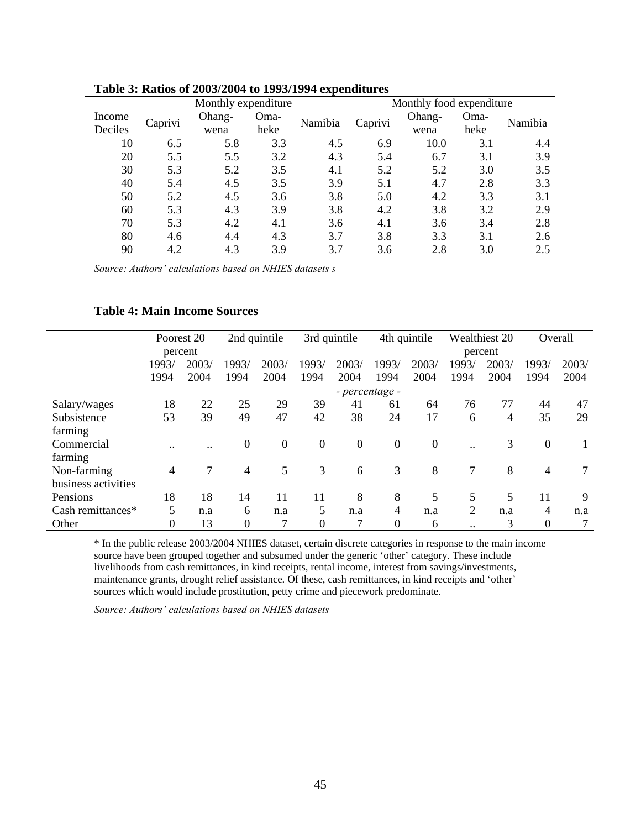<span id="page-44-0"></span>

|         |         | Monthly expenditure | Monthly food expenditure |         |         |        |      |         |  |
|---------|---------|---------------------|--------------------------|---------|---------|--------|------|---------|--|
| Income  | Caprivi | Ohang-              | Oma-                     | Namibia | Caprivi | Ohang- | Oma- | Namibia |  |
| Deciles |         | wena                | heke                     |         |         | wena   | heke |         |  |
| 10      | 6.5     | 5.8                 | 3.3                      | 4.5     | 6.9     | 10.0   | 3.1  | 4.4     |  |
| 20      | 5.5     | 5.5                 | 3.2                      | 4.3     | 5.4     | 6.7    | 3.1  | 3.9     |  |
| 30      | 5.3     | 5.2                 | 3.5                      | 4.1     | 5.2     | 5.2    | 3.0  | 3.5     |  |
| 40      | 5.4     | 4.5                 | 3.5                      | 3.9     | 5.1     | 4.7    | 2.8  | 3.3     |  |
| 50      | 5.2     | 4.5                 | 3.6                      | 3.8     | 5.0     | 4.2    | 3.3  | 3.1     |  |
| 60      | 5.3     | 4.3                 | 3.9                      | 3.8     | 4.2     | 3.8    | 3.2  | 2.9     |  |
| 70      | 5.3     | 4.2                 | 4.1                      | 3.6     | 4.1     | 3.6    | 3.4  | 2.8     |  |
| 80      | 4.6     | 4.4                 | 4.3                      | 3.7     | 3.8     | 3.3    | 3.1  | 2.6     |  |
| 90      | 4.2     | 4.3                 | 3.9                      | 3.7     | 3.6     | 2.8    | 3.0  | 2.5     |  |

### **Table 3: Ratios of 2003/2004 to 1993/1994 expenditures**

*Source: Authors' calculations based on NHIES datasets s* 

### **Table 4: Main Income Sources**

<span id="page-44-1"></span>

|                     | Poorest 20           |                      | 2nd quintile |                  | 3rd quintile   |                | 4th quintile     |          | Wealthiest 20        |         | Overall          |                 |
|---------------------|----------------------|----------------------|--------------|------------------|----------------|----------------|------------------|----------|----------------------|---------|------------------|-----------------|
|                     |                      | percent              |              |                  |                |                |                  |          |                      | percent |                  |                 |
|                     | 1993/                | 2003/                | 1993/        | 2003/            | 1993/          | 2003/          | 1993/            | 2003/    | 1993/                | 2003/   | 1993/            | 2003/           |
|                     | 1994                 | 2004                 | 1994         | 2004             | 1994           | 2004           | 1994             | 2004     | 1994                 | 2004    | 1994             | 2004            |
|                     |                      |                      |              |                  |                | - percentage - |                  |          |                      |         |                  |                 |
| Salary/wages        | 18                   | 22                   | 25           | 29               | 39             | 41             | 61               | 64       | 76                   | 77      | 44               | 47              |
| Subsistence         | 53                   | 39                   | 49           | 47               | 42             | 38             | 24               | 17       | 6                    | 4       | 35               | 29              |
| farming             |                      |                      |              |                  |                |                |                  |          |                      |         |                  |                 |
| Commercial          | $\ddot{\phantom{0}}$ | $\ddot{\phantom{0}}$ | $\Omega$     | $\boldsymbol{0}$ | $\overline{0}$ | $\overline{0}$ | $\boldsymbol{0}$ | $\theta$ | $\ddot{\phantom{a}}$ | 3       | $\boldsymbol{0}$ |                 |
| farming             |                      |                      |              |                  |                |                |                  |          |                      |         |                  |                 |
| Non-farming         | $\overline{4}$       | 7                    | 4            | 5                | 3              | 6              | 3                | 8        | 7                    | 8       | $\overline{4}$   | $7\overline{ }$ |
| business activities |                      |                      |              |                  |                |                |                  |          |                      |         |                  |                 |
| Pensions            | 18                   | 18                   | 14           | 11               | 11             | 8              | 8                | 5        | 5                    | 5       | 11               | 9               |
| Cash remittances*   | 5                    | n.a                  | 6            | n.a              | 5              | n.a            | 4                | n.a      | $\overline{2}$       | n.a     | 4                | n.a             |
| Other               | $\Omega$             | 13                   | $\Omega$     | 7                | 0              |                | $\theta$         | 6        | $\ddotsc$            | 3       | $\theta$         | 7               |

\* In the public release 2003/2004 NHIES dataset, certain discrete categories in response to the main income source have been grouped together and subsumed under the generic 'other' category. These include livelihoods from cash remittances, in kind receipts, rental income, interest from savings/investments, maintenance grants, drought relief assistance. Of these, cash remittances, in kind receipts and 'other' sources which would include prostitution, petty crime and piecework predominate.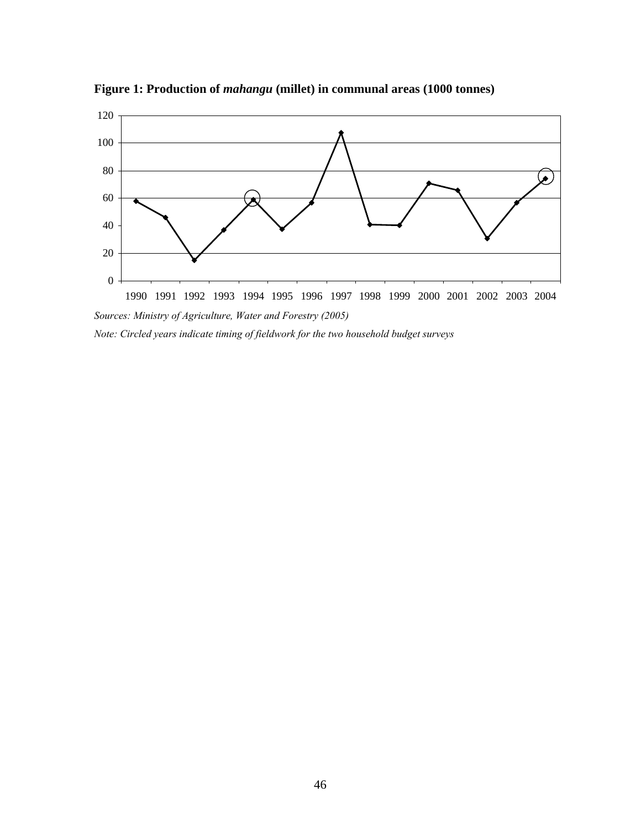<span id="page-45-0"></span>

Figure 1: Production of *mahangu* (millet) in communal areas (1000 tonnes)

*Note: Circled years indicate timing of fieldwork for the two household budget surveys*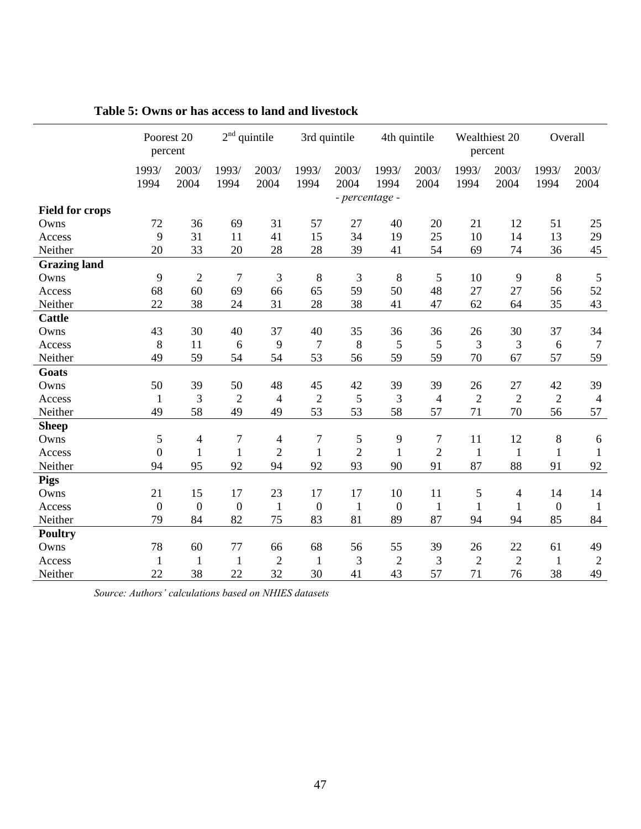<span id="page-46-0"></span>

|                        |                  | Poorest 20<br>percent |                  | $2nd$ quintile |                  | 3rd quintile   |                  | 4th quintile   | percent        | Wealthiest 20  |                  | Overall         |
|------------------------|------------------|-----------------------|------------------|----------------|------------------|----------------|------------------|----------------|----------------|----------------|------------------|-----------------|
|                        | 1993/            | 2003/                 | 1993/            | 2003/          | 1993/            | 2003/          | 1993/            | 2003/          | 1993/          | 2003/          | 1993/            | 2003/           |
|                        | 1994             | 2004                  | 1994             | 2004           | 1994             | 2004           | 1994             | 2004           | 1994           | 2004           | 1994             | 2004            |
|                        |                  |                       |                  |                |                  |                | - percentage -   |                |                |                |                  |                 |
| <b>Field for crops</b> |                  |                       |                  |                |                  |                |                  |                |                |                |                  |                 |
| Owns                   | 72               | 36                    | 69               | 31             | 57               | 27             | 40               | 20             | 21             | 12             | 51               | 25              |
| Access                 | 9                | 31                    | 11               | 41             | 15               | 34             | 19               | 25             | 10             | 14             | 13               | 29              |
| Neither                | 20               | 33                    | 20               | 28             | 28               | 39             | 41               | 54             | 69             | 74             | 36               | 45              |
| <b>Grazing land</b>    |                  |                       |                  |                |                  |                |                  |                |                |                |                  |                 |
| Owns                   | 9                | $\overline{2}$        | $\overline{7}$   | 3              | 8                | 3              | 8                | 5              | 10             | 9              | 8                | $\mathfrak{S}$  |
| Access                 | 68               | 60                    | 69               | 66             | 65               | 59             | 50               | 48             | 27             | 27             | 56               | 52              |
| Neither                | 22               | 38                    | 24               | 31             | 28               | 38             | 41               | 47             | 62             | 64             | 35               | 43              |
| <b>Cattle</b>          |                  |                       |                  |                |                  |                |                  |                |                |                |                  |                 |
| Owns                   | 43               | 30                    | 40               | 37             | 40               | 35             | 36               | 36             | 26             | 30             | 37               | 34              |
| Access                 | 8                | 11                    | 6                | 9              | $\boldsymbol{7}$ | 8              | 5                | 5              | 3              | 3              | 6                | $7\phantom{.0}$ |
| Neither                | 49               | 59                    | 54               | 54             | 53               | 56             | 59               | 59             | 70             | 67             | 57               | 59              |
| Goats                  |                  |                       |                  |                |                  |                |                  |                |                |                |                  |                 |
| Owns                   | 50               | 39                    | 50               | 48             | 45               | 42             | 39               | 39             | 26             | 27             | 42               | 39              |
| Access                 | $\mathbf{1}$     | 3                     | $\overline{2}$   | $\overline{4}$ | $\overline{2}$   | 5              | 3                | $\overline{4}$ | $\overline{2}$ | $\overline{2}$ | $\mathfrak{2}$   | $\overline{4}$  |
| Neither                | 49               | 58                    | 49               | 49             | 53               | 53             | 58               | 57             | 71             | 70             | 56               | 57              |
| <b>Sheep</b>           |                  |                       |                  |                |                  |                |                  |                |                |                |                  |                 |
| Owns                   | 5                | 4                     | $\tau$           | $\overline{4}$ | 7                | 5              | 9                | $\tau$         | 11             | 12             | 8                | 6               |
| Access                 | $\overline{0}$   | 1                     | 1                | $\overline{2}$ | $\mathbf{1}$     | $\overline{2}$ | 1                | $\overline{2}$ | 1              | $\mathbf{1}$   | 1                | $\mathbf{1}$    |
| Neither                | 94               | 95                    | 92               | 94             | 92               | 93             | 90               | 91             | 87             | 88             | 91               | 92              |
| <b>Pigs</b>            |                  |                       |                  |                |                  |                |                  |                |                |                |                  |                 |
| Owns                   | 21               | 15                    | 17               | 23             | 17               | 17             | 10               | 11             | 5              | $\overline{4}$ | 14               | 14              |
| Access                 | $\boldsymbol{0}$ | $\boldsymbol{0}$      | $\boldsymbol{0}$ | $\mathbf{1}$   | $\boldsymbol{0}$ | $\mathbf{1}$   | $\boldsymbol{0}$ | $\mathbf{1}$   | $\mathbf{1}$   | $\mathbf{1}$   | $\boldsymbol{0}$ | $\mathbf{1}$    |
| Neither                | 79               | 84                    | 82               | 75             | 83               | 81             | 89               | 87             | 94             | 94             | 85               | 84              |
| <b>Poultry</b>         |                  |                       |                  |                |                  |                |                  |                |                |                |                  |                 |
| Owns                   | 78               | 60                    | 77               | 66             | 68               | 56             | 55               | 39             | 26             | 22             | 61               | 49              |
| Access                 | $\mathbf{1}$     | 1                     | $\mathbf{1}$     | $\overline{2}$ | 1                | 3              | $\overline{2}$   | 3              | $\mathfrak{2}$ | $\overline{2}$ | $\mathbf{1}$     | 2               |
| Neither                | 22               | 38                    | 22               | 32             | 30               | 41             | 43               | 57             | 71             | 76             | 38               | 49              |

### **Table 5: Owns or has access to land and livestock**